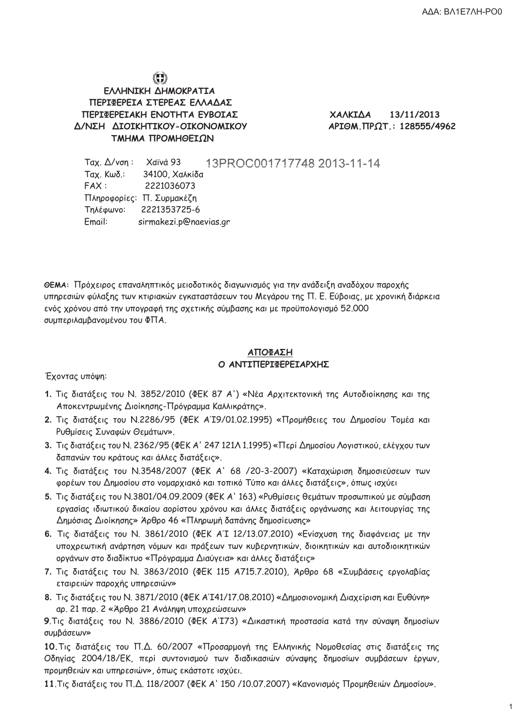$\overline{1}$ 

# $\bigodot$

ΕΛΛΗΝΙΚΗ ΔΗΜΟΚΡΑΤΙΑ ΠΕΡΙΦΕΡΕΙΑ ΣΤΕΡΕΑΣ ΕΛΛΑΔΑΣ ΠΕΡΙΦΕΡΕΙΑΚΗ ΕΝΟΤΗΤΑ ΕΥΒΟΙΑΣ Δ/ΝΣΗ ΔΙΟΙΚΗΤΙΚΟΥ-ΟΙΚΟΝΟΜΙΚΟΥ ΤΜΗΜΑ ΠΡΟΜΗΘΕΙΩΝ

ΧΑΛΚΙΔΑ 13/11/2013 APIΘΜ. ΠΡΩΤ.: 128555/4962

Ταχ. Δ/νση: Χαϊνά 93 13PROC001717748 2013-11-14 **Ταχ. Κωδ.:** 34100, Χαλκίδα  $FAX:$ 2221036073 Πληροφορίες: Π. Συρμακέζη Τηλέφωνο: 2221353725-6 Email: sirmakezi.p@naevias.gr

ΘΕΜΑ: Πρόχειρος επαναληπτικός μειοδοτικός διαγωνισμός για την ανάδειξη αναδόχου παροχής υπηρεσιών φύλαξης των κτιριακών εγκαταστάσεων του Μεγάρου της Π. Ε. Εύβοιας, με χρονική διάρκεια ενός χρόνου από την υπογραφή της σχετικής σύμβασης και με προϋπολογισμό 52.000 συμπεριλαμβανομένου του ΦΠΑ.

### ΑΠΟΦΑΣΗ Ο ΑΝΤΙΠΕΡΙΦΕΡΕΙΑΡΧΗΣ

Έχοντας υπόψη:

- 1. Τις διατάξεις του Ν. 3852/2010 (ΦΕΚ 87 A') «Νέα Αρχιτεκτονική της Αυτοδιοίκησης και της Αποκεντρωμένης Διοίκησης-Πρόγραμμα Καλλικράτης».
- 2. Τις διατάξεις του Ν.2286/95 (ΦΕΚ ΑΊ9/01.02.1995) «Προμήθειες του Δημοσίου Τομέα και Ρυθμίσεις Συναφών Θεμάτων».
- 3. Τις διατάξεις του Ν. 2362/95 (ΦΕΚ Α' 247 121Λ 1.1995) «Περί Δημοσίου Λογιστικού, ελέγχου των δαπανών του κράτους και άλλες διατάξεις».
- 4. Τις διατάξεις του N.3548/2007 (ΦΕΚ Α' 68 /20-3-2007) «Καταχώριση δημοσιεύσεων των φορέων του Δημοσίου στο νομαρχιακό και τοπικό Τύπο και άλλες διατάξεις», όπως ισχύει
- 5. Τις διατάξεις του N.3801/04.09.2009 (ΦΕΚ Α' 163) «Ρυθμίσεις θεμάτων προσωπικού με σύμβαση εργασίας ιδιωτικού δικαίου αορίστου χρόνου και άλλες διατάξεις οργάνωσης και λειτουργίας της Δημόσιας Διοίκησης» Άρθρο 46 «Πληρωμή δαπάνης δημοσίευσης»
- 6. Τις διατάξεις του Ν. 3861/2010 (ΦΕΚ ΑΊ 12/13.07.2010) «Ενίσχυση της διαφάνειας με την υποχρεωτική ανάρτηση νόμων και πράξεων των κυβερνητικών, διοικητικών και αυτοδιοικητικών οργάνων στο διαδίκτυο «Πρόγραμμα Διαύγεια» και άλλες διατάξεις»
- 7. Τις διατάξεις του Ν. 3863/2010 (ΦΕΚ 115 Α715.7.2010), Άρθρο 68 «Συμβάσεις εργολαβίας εταιρειών παροχής υπηρεσιών»
- 8. Τις διατάξεις του Ν. 3871/2010 (ΦΕΚ Α'Ι41/17.08.2010) «Δημοσιονομική Διαχείριση και Ευθύνη» αρ. 21 παρ. 2 «Άρθρο 21 Ανάληψη υποχρεώσεων»

9. Τις διατάξεις του Ν. 3886/2010 (ΦΕΚ ΑΊΤΑ3) «Δικαστική προστασία κατά την σύναψη δημοσίων συμβάσεων»

10. Τις διατάξεις του Π.Δ. 60/2007 «Προσαρμογή της Ελληνικής Νομοθεσίας στις διατάξεις της Οδηγίας 2004/18/ΕΚ, περί συντονισμού των διαδικασιών σύναψης δημοσίων συμβάσεων έργων, προμηθειών και υπηρεσιών», όπως εκάστοτε ισχύει.

11. Τις διατάξεις του Π.Δ. 118/2007 (ΦΕΚ Α' 150 /10.07.2007) «Κανονισμός Προμηθειών Δημοσίου».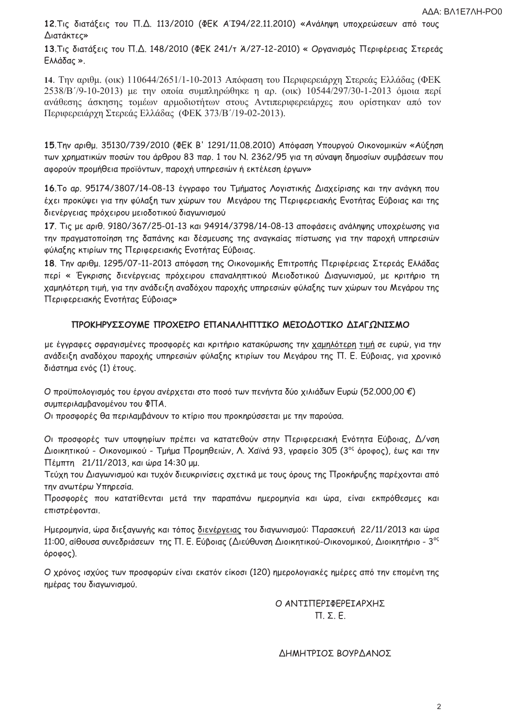12. Τις διατάξεις του Π.Δ. 113/2010 (ΦΕΚ ΑΊ 94/22.11.2010) «Ανάληψη υποχρεώσεων από τους Διατάκτες»

13. Τις διατάξεις του Π.Δ. 148/2010 (ΦΕΚ 241/τ Ά/27-12-2010) « Οργανισμός Περιφέρειας Στερεάς Ελλάδας ».

14. Την αριθμ. (οικ) 110644/2651/1-10-2013 Απόφαση του Περιφερειάρχη Στερεάς Ελλάδας (ΦΕΚ 2538/Β'/9-10-2013) με την οποία συμπληρώθηκε η αρ. (οικ) 10544/297/30-1-2013 όμοια περί ανάθεσης άσκησης τομέων αρμοδιοτήτων στους Αντιπεριφερειάρχες που ορίστηκαν από τον Περιφερειάρχη Στερεάς Ελλάδας (ΦΕΚ 373/Β'/19-02-2013).

15. Την αριθμ. 35130/739/2010 (ΦΕΚ Β' 1291/11.08.2010) Απόφαση Υπουργού Οικονομικών «Αύξηση των χρηματικών ποσών του άρθρου 83 παρ. 1 του Ν. 2362/95 για τη σύναψη δημοσίων συμβάσεων που αφορούν προμήθεια προϊόντων, παροχή υπηρεσιών ή εκτέλεση έργων»

16. Το αρ. 95174/3807/14-08-13 έγγραφο του Τμήματος Λογιστικής Διαχείρισης και την ανάγκη που έχει προκύψει για την φύλαξη των χώρων του Μεγάρου της Περιφερειακής Ενοτήτας Εύβοιας και της διενέργειας πρόχειρου μειοδοτικού διαγωνισμού

17. Τις με αριθ. 9180/367/25-01-13 και 94914/3798/14-08-13 αποφάσεις ανάληψης υποχρέωσης για την πραγματοποίηση της δαπάνης και δέσμευσης της αναγκαίας πίστωσης για την παροχή υπηρεσιών φύλαξης κτιρίων της Περιφερειακής Ενοτήτας Εύβοιας.

18. Την αριθμ. 1295/07-11-2013 απόφαση της Οικονομικής Επιτροπής Περιφέρειας Στερεάς Ελλάδας περί « Έγκρισης διενέργειας πρόχειρου επαναληπτικού Μειοδοτικού Διαγωνισμού, με κριτήριο τη χαμηλότερη τιμή, για την ανάδειξη αναδόχου παροχής υπηρεσιών φύλαξης των χώρων του Μεγάρου της Περιφερειακής Ενοτήτας Εύβοιας»

### ΠΡΟΚΗΡΥΣΣΟΥΜΕ ΠΡΟΧΕΙΡΟ ΕΠΑΝΑΛΗΠΤΙΚΟ ΜΕΙΟΔΟΤΙΚΟ ΔΙΑΓΩΝΙΣΜΟ

με έγγραφες σφραγισμένες προσφορές και κριτήριο κατακύρωσης την χαμηλότερη τιμή σε ευρώ, για την ανάδειξη αναδόχου παροχής υπηρεσιών φύλαξης κτιρίων του Μεγάρου της Π. Ε. Εύβοιας, για χρονικό διάστημα ενός (1) έτους.

Ο προϋπολογισμός του έργου ανέρχεται στο ποσό των πενήντα δύο χιλιάδων Ευρώ (52.000,00 €) συμπεριλαμβανομένου του ΦΠΑ.

Οι προσφορές θα περιλαμβάνουν το κτίριο που προκηρύσσεται με την παρούσα.

Οι προσφορές των υποψηφίων πρέπει να κατατεθούν στην Περιφερειακή Ενότητα Εύβοιας, Δ/νση Διοικητικού - Οικονομικού - Τμήμα Προμηθειών, Λ. Χαϊνά 93, γραφείο 305 (3°ς όροφος), έως και την Πέμπτη 21/11/2013, και ώρα 14:30 μμ.

Τεύχη του Διαγωνισμού και τυχόν διευκρινίσεις σχετικά με τους όρους της Προκήρυξης παρέχονται από την ανωτέρω Υπηρεσία.

Προσφορές που κατατίθενται μετά την παραπάνω ημερομηνία και ώρα, είναι εκπρόθεσμες και επιστρέφονται.

Ημερομηνία, ώρα διεξαγωγής και τόπος <u>διενέργειας</u> του διαγωνισμού: Παρασκευή 22/11/2013 και ώρα 11:00, αίθουσα συνεδριάσεων της Π. Ε. Εύβοιας (Διεύθυνση Διοικητικού-Οικονομικού, Διοικητήριο - 3°ς όροφος).

Ο χρόνος ισχύος των προσφορών είναι εκατόν είκοσι (120) ημερολογιακές ημέρες από την επομένη της ημέρας του διαγωνισμού.

> Ο ΑΝΤΙΠΕΡΙΦΕΡΕΙΑΡΧΗΣ  $\Pi$ ,  $\Sigma$ ,  $E$ ,

#### ΔΗΜΗΤΡΙΟΣ ΒΟΥΡΔΑΝΟΣ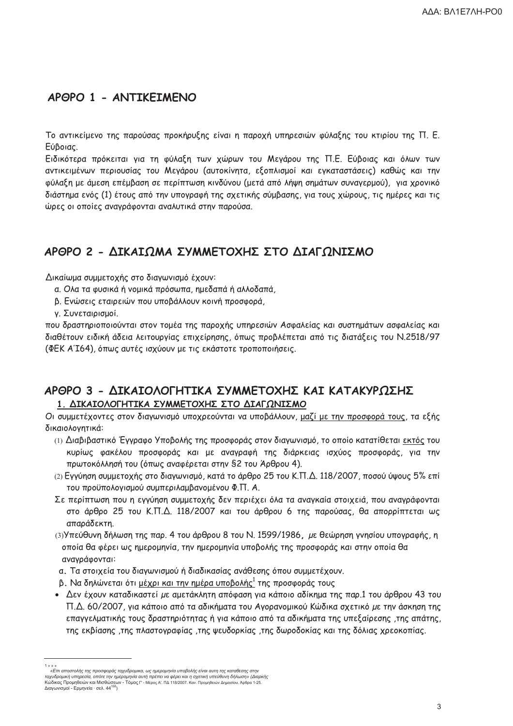# APOPO 1 - ANTIKEIMENO

Το αντικείμενο της παρούσας προκήρυξης είναι η παροχή υπηρεσιών φύλαξης του κτιρίου της Π. Ε. Εύβοιας.

Ειδικότερα πρόκειται για τη φύλαξη των χώρων του Μεγάρου της Π.Ε. Εύβοιας και όλων των αντικειμένων περιουσίας του Μεγάρου (αυτοκίνητα, εξοπλισμοί και εγκαταστάσεις) καθώς και την φύλαξη με άμεση επέμβαση σε περίπτωση κινδύνου (μετά από λήψη σημάτων συναγερμού), για χρονικό διάστημα ενός (1) έτους από την υπογραφή της σχετικής σύμβασης, για τους χώρους, τις ημέρες και τις ώρες οι οποίες αναγράφονται αναλυτικά στην παρούσα.

# ΑΡΘΡΟ 2 - ΛΙΚΑΙΩΜΑ ΣΥΜΜΕΤΟΧΗΣ ΣΤΟ ΛΙΑΓΩΝΙΣΜΟ

Δικαίωμα συμμετοχής στο διαγωνισμό έχουν:

- α. Ολα τα φυσικά ή νομικά πρόσωπα, ημεδαπά ή αλλοδαπά,
- β. Ενώσεις εταιρειών που υποβάλλουν κοινή προσφορά,

γ. Συνεταιρισμοί.

που δραστηριοποιούνται στον τομέα της παροχής υπηρεσιών Ασφαλείας και συστημάτων ασφαλείας και διαθέτουν ειδική άδεια λειτουργίας επιχείρησης, όπως προβλέπεται από τις διατάξεις του Ν.2518/97 (ΦΕΚ ΑΊ64), όπως αυτές ισχύουν με τις εκάστοτε τροποποιήσεις.

# ΑΡΘΡΟ 3 - ΔΙΚΑΙΟΛΟΓΗΤΙΚΑ ΣΥΜΜΕΤΟΧΗΣ ΚΑΙ ΚΑΤΑΚΥΡΩΣΗΣ 1. ΔΙΚΑΙΟΛΟΓΗΤΙΚΑ ΣΥΜΜΕΤΟΧΗΣ ΣΤΟ ΔΙΑΓΩΝΙΣΜΟ

Οι συμμετέχοντες στον διαγωνισμό υποχρεούνται να υποβάλλουν, μαζί με την προσφορά τους, τα εξής δικαιολογητικά:

- (1) Διαβιβαστικό Έννραφο Υποβολής της προσφοράς στον διανωνισμό, το οποίο κατατίθεται εκτός του κυρίως φακέλου προσφοράς και με αναγραφή της διάρκειας ισχύος προσφοράς, για την πρωτοκόλλησή του (όπως αναφέρεται στην §2 του Άρθρου 4).
- (2) Εγγύηση συμμετοχής στο διαγωνισμό, κατά το άρθρο 25 του Κ.Π.Δ. 118/2007, ποσού ύψους 5% επί του προϋπολογισμού συμπεριλαμβανομένου Φ.Π. Α.
- Σε περίπτωση που η εγγύηση συμμετοχής δεν περιέχει όλα τα αναγκαία στοιχειά, που αναγράφονται στο άρθρο 25 του Κ.Π.Δ. 118/2007 και του άρθρου 6 της παρούσας, θα απορρίπτεται ως απαράδεκτη.
- (3) Υπεύθυνη δήλωση της παρ. 4 του άρθρου 8 του Ν. 1599/1986, με θεώρηση γνησίου υπογραφής, η οποία θα φέρει ως ημερομηνία, την ημερομηνία υποβολής της προσφοράς και στην οποία θα αναγράφονται:
- α. Τα στοιχεία του διαγωνισμού ή διαδικασίας ανάθεσης όπου συμμετέχουν.
- β. Να δηλώνεται ότι μέχρι και την ημέρα υποβολής<sup>1</sup> της προσφοράς τους
- Δεν έχουν καταδικαστεί με αμετάκλητη απόφαση για κάποιο αδίκημα της παρ.1 του άρθρου 43 του Π.Δ. 60/2007, για κάποιο από τα αδικήματα του Αγορανομικού Κώδικα σχετικό με την άσκηση της επαγγελματικής τους δραστηριότητας ή για κάποιο από τα αδικήματα της υπεξαίρεσης ,της απάτης, της εκβίασης ,της πλαστογραφίας ,της ψευδορκίας ,της δωροδοκίας και της δόλιας χρεοκοπίας.

<sup>«</sup>Επι αποστολής της προσφοράς ταχυδρομικα, ως ημερομηνία υποβολής είναι αυτη της καταθεσης στην ταχυδρομική υπηρεσία, οπότε την ημερομηνία αυτή πρέπει να φέρει και η σχετική υπεύθυνη δήλωση» (Διαρκής<br>Ταχυδρομική υπηρεσία, οπότε την ημερομηνία αυτή πρέπει να φέρει και η σχετική υπεύθυνη δήλωση» (Διαρκής<br>Κώδικας Προμη Διανωνισμοί - Ερμηνεία · σελ. 44<sup>158</sup>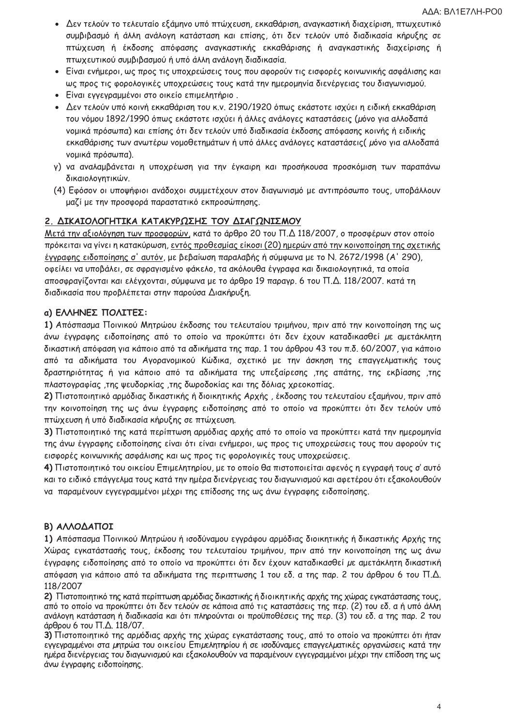- Δεν τελούν το τελευταίο εξάμηνο υπό πτώχευση, εκκαθάριση, αναγκαστική διαχείριση, πτωχευτικό συμβιβασμό ή άλλη ανάλογη κατάσταση και επίσης, ότι δεν τελούν υπό διαδικασία κήρυξης σε πτώχευση ή έκδοσης απόφασης αναγκαστικής εκκαθάρισης ή αναγκαστικής διαχείρισης ή πτωχευτικού συμβιβασμού ή υπό άλλη ανάλογη διαδικασία.
- · Είναι ενήμεροι, ως προς τις υποχρεώσεις τους που αφορούν τις εισφορές κοινωνικής ασφάλισης και ως προς τις φορολογικές υποχρεώσεις τους κατά την ημερομηνία διενέργειας του διαγωνισμού.
- · Είναι εγγεγραμμένοι στο οικείο επιμελητήριο.
- Δεν τελούν υπό κοινή εκκαθάριση του κ.ν. 2190/1920 όπως εκάστοτε ισχύει η ειδική εκκαθάριση του νόμου 1892/1990 όπως εκάστοτε ισχύει ή άλλες ανάλογες καταστάσεις (μόνο για αλλοδαπά νομικά πρόσωπα) και επίσης ότι δεν τελούν υπό διαδικασία έκδοσης απόφασης κοινής ή ειδικής εκκαθάρισης των ανωτέρω νομοθετημάτων ή υπό άλλες ανάλογες καταστάσεις (μόνο για αλλοδαπά νομικά πρόσωπα).
- γ) να αναλαμβάνεται η υποχρέωση για την έγκαιρη και προσήκουσα προσκόμιση των παραπάνω δικαιολογητικών.
- (4) Εφόσον οι υποψήφιοι ανάδοχοι συμμετέχουν στον διαγωνισμό με αντιπρόσωπο τους, υποβάλλουν μαζί με την προσφορά παραστατικό εκπροσώπησης.

## 2. ΔΙΚΑΙΟΛΟΓΗΤΙΚΑ ΚΑΤΑΚΥΡΩΣΗΣ ΤΟΥ ΔΙΑΓΩΝΙΣΜΟΥ

Μετά την αξιολόγηση των προσφορών, κατά το άρθρο 20 του Π.Δ 118/2007, ο προσφέρων στον οποίο πρόκειται να γίνει η κατακύρωση, εντός προθεσμίας είκοσι (20) ημερών από την κοινοποίηση της σχετικής έγγραφης ειδοποίησης σ' αυτόν, με βεβαίωση παραλαβής ή σύμφωνα με το Ν. 2672/1998 (Α' 290), οφείλει να υποβάλει, σε σφραγισμένο φάκελο, τα ακόλουθα έγγραφα και δικαιολογητικά, τα οποία αποσφραγίζονται και ελέγχονται, σύμφωνα με το άρθρο 19 παραγρ. 6 του Π.Δ. 118/2007, κατά τη διαδικασία που προβλέπεται στην παρούσα Διακήρυξη.

### α) ΕΛΛΗΝΕΣ ΠΟΛΙΤΕΣ:

1) Απόσπασμα Ποινικού Μητρώου έκδοσης του τελευταίου τριμήνου, πριν από την κοινοποίηση της ως άνω έγγραφης ειδοποίησης από το οποίο να προκύπτει ότι δεν έχουν καταδικασθεί με αμετάκλητη δικαστική απόφαση για κάποιο από τα αδικήματα της παρ. 1 του άρθρου 43 του π.δ. 60/2007, για κάποιο από τα αδικήματα του Αγορανομικού Κώδικα, σχετικό με την άσκηση της επαγγελματικής τους δραστηριότητας ή για κάποιο από τα αδικήματα της υπεξαίρεσης ,της απάτης, της εκβίασης ,της πλαστογραφίας ,της ψευδορκίας ,της δωροδοκίας και της δόλιας χρεοκοπίας,

2) Πιστοποιητικό αρμόδιας δικαστικής ή διοικητικής Αρχής, έκδοσης του τελευταίου εξαμήνου, πριν από την κοινοποίηση της ως άνω έγγραφης ειδοποίησης από το οποίο να προκύπτει ότι δεν τελούν υπό πτώχευση ή υπό διαδικασία κήρυξης σε πτώχευση.

3) Πιστοποιητικό της κατά περίπτωση αρμόδιας αρχής από το οποίο να προκύπτει κατά την ημερομηνία της άνω έγγραφης ειδοποίησης είναι ότι είναι ενήμεροι, ως προς τις υποχρεώσεις τους που αφορούν τις εισφορές κοινωνικής ασφάλισης και ως προς τις φορολογικές τους υποχρεώσεις.

4) Πιστοποιητικό του οικείου Επιμελητηρίου, με το οποίο θα πιστοποιείται αφενός η εγγραφή τους σ' αυτό και το ειδικό επάγγελμα τους κατά την ημέρα διενέργειας του διαγωνισμού και αφετέρου ότι εξακολουθούν να παραμένουν εγγεγραμμένοι μέχρι της επίδοσης της ως άνω έγγραφης ειδοποίησης.

### Β) ΑΛΛΟΔΑΠΟΙ

1) Απόσπασμα Ποινικού Μητρώου ή ισοδύναμου εγγράφου αρμόδιας διοικητικής ή δικαστικής Αρχής της Χώρας εγκατάστασής τους, έκδοσης του τελευταίου τριμήνου, πριν από την κοινοποίηση της ως άνω έγγραφης ειδοποίησης από το οποίο να προκύπτει ότι δεν έχουν καταδικασθεί με αμετάκλητη δικαστική απόφαση για κάποιο από τα αδικήματα της περιπτωσης 1 του εδ. α της παρ. 2 του άρθρου 6 του Π.Δ. 118/2007

2) Πιστοποιητικό της κατά περίπτωση αρμόδιας δικαστικής ή διοικητικής αρχής της χώρας εγκατάστασης τους, από το οποίο να προκύπτει ότι δεν τελούν σε κάποια από τις καταστάσεις της περ. (2) του εδ. α ή υπό άλλη ανάλογη κατάσταση ή διαδικασία και ότι πληρούνται οι προϋποθέσεις της περ. (3) του εδ. α της παρ. 2 του άρθρου 6 του Π.Δ. 118/07.

3) Πιστοποιητικό της αρμόδιας αρχής της χώρας εγκατάστασης τους, από το οποίο να προκύπτει ότι ήταν εγγεγραμμένοι στα μητρώα του οικείου Επιμελητηρίου ή σε ισοδύναμες επαγγελματικές οργανώσεις κατά την ημέρα διενέργειας του διαγωνισμού και εξακολουθούν να παραμένουν εγγεγραμμένοι μέχρι την επίδοση της ως άνω έγγραφης ειδοποίησης.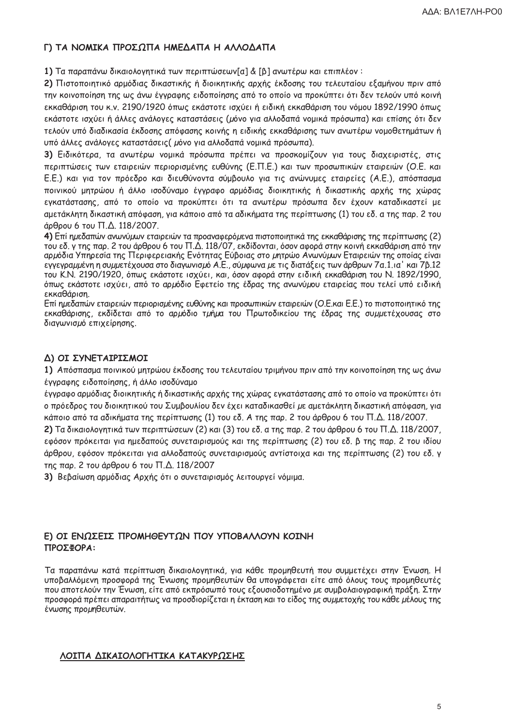### Γ) ΤΑ ΝΟΜΙΚΑ ΠΡΟΣΩΠΑ ΗΜΕΔΑΠΑ Η ΑΛΛΟΔΑΠΑ

1) Τα παραπάνω δικαιολογητικά των περιπτώσεων[α] & [β] ανωτέρω και επιπλέον:

2) Πιστοποιητικό αρμόδιας δικαστικής ή διοικητικής αρχής έκδοσης του τελευταίου εξαμήνου πριν από την κοινοποίηση της ως άνω έγγραφης ειδοποίησης από το οποίο να προκύπτει ότι δεν τελούν υπό κοινή εκκαθάριση του κ.ν. 2190/1920 όπως εκάστοτε ισχύει ή ειδική εκκαθάριση του νόμου 1892/1990 όπως εκάστοτε ισχύει ή άλλες ανάλογες καταστάσεις (μόνο για αλλοδαπά νομικά πρόσωπα) και επίσης ότι δεν τελούν υπό διαδικασία έκδοσης απόφασης κοινής η ειδικής εκκαθάρισης των ανωτέρω νομοθετημάτων ή υπό άλλες ανάλογες καταστάσεις (μόνο για αλλοδαπά νομικά πρόσωπα).

3) Ειδικότερα, τα ανωτέρω νομικά πρόσωπα πρέπει να προσκομίζουν για τους διαχειριστές, στις περιπτώσεις των εταιρειών περιορισμένης ευθύνης (Ε.Π.Ε.) και των προσωπικών εταιρειών (Ο.Ε. και Ε.Ε.) και για τον πρόεδρο και διευθύνοντα σύμβουλο για τις ανώνυμες εταιρείες (Α.Ε.), απόσπασμα ποινικού μητρώου ή άλλο ισοδύναμο έγγραφο αρμόδιας διοικητικής ή δικαστικής αρχής της χώρας εγκατάστασης, από το οποίο να προκύπτει ότι τα ανωτέρω πρόσωπα δεν έχουν καταδικαστεί με αμετάκλητη δικαστική απόφαση, για κάποιο από τα αδικήματα της περίπτωσης (1) του εδ. α της παρ. 2 του άρθρου 6 του Π.Δ. 118/2007.

4) Επί ημεδαπών ανωνύμων εταιρειών τα προαναφερόμενα πιστοποιητικά της εκκαθάρισης της περίπτωσης (2) του εδ. γ της παρ. 2 του άρθρου 6 του Π.Δ. 118/07, εκδίδονται, όσον αφορά στην κοινή εκκαθάριση από την αρμόδια Υπηρεσία της Περιφερειακής Ενότητας Εύβοιας στο μητρώο Ανωνύμων Εταιρειών της οποίας είναι εγγεγραμμένη η συμμετέχουσα στο διαγωνισμό Α.Ε., σύμφωνα με τις διατάξεις των άρθρων 7α.1.ια' και 7β.12 του Κ.Ν. 2190/1920, όπως εκάστοτε ισχύει, και, όσον αφορά στην ειδική εκκαθάριση του Ν. 1892/1990, όπως εκάστοτε ισχύει, από το αρμόδιο Εφετείο της έδρας της ανωνύμου εταιρείας που τελεί υπό ειδική εκκαθάριση.

Επί ημεδαπών εταιρειών περιορισμένης ευθύνης και προσωπικών εταιρειών (Ο.Ε.και Ε.Ε.) το πιστοποιητικό της εκκαθάρισης, εκδίδεται από το αρμόδιο τμήμα του Πρωτοδικείου της έδρας της συμμετέχουσας στο διαγωνισμό επιχείρησης.

### Δ) ΟΙ ΣΥΝΕΤΑΙΡΙΣΜΟΙ

1) Απόσπασμα ποινικού μητρώου έκδοσης του τελευταίου τριμήνου πριν από την κοινοποίηση της ως άνω έγγραφης ειδοποίησης, ή άλλο ισοδύναμο

έγγραφο αρμόδιας διοικητικής ή δικαστικής αρχής της χώρας εγκατάστασης από το οποίο να προκύπτει ότι ο πρόεδρος του διοικητικού του Συμβουλίου δεν έχει καταδικασθεί με αμετάκλητη δικαστική απόφαση, για κάποιο από τα αδικήματα της περίπτωσης (1) του εδ. Α της παρ. 2 του άρθρου 6 του Π.Δ. 118/2007.

2) Τα δικαιολογητικά των περιπτώσεων (2) και (3) του εδ. α της παρ. 2 του άρθρου 6 του Π.Δ. 118/2007, εφόσον πρόκειται για ημεδαπούς συνεταιρισμούς και της περίπτωσης (2) του εδ. β της παρ. 2 του ιδίου άρθρου, εφόσον πρόκειται για αλλοδαπούς συνεταιρισμούς αντίστοιχα και της περίπτωσης (2) του εδ. γ της παρ. 2 του άρθρου 6 του Π.Δ. 118/2007

3) Βεβαίωση αρμόδιας Αρχής ότι ο συνεταιρισμός λειτουργεί νόμιμα.

### Ε) ΟΙ ΕΝΩΣΕΙΣ ΠΡΟΜΗΘΕΥΤΩΝ ΠΟΥ ΥΠΟΒΑΛΛΟΥΝ ΚΟΙΝΗ **ΠΡΟΣΦΟΡΑ:**

Τα παραπάνω κατά περίπτωση δικαιολογητικά, για κάθε προμηθευτή που συμμετέχει στην Ένωση. Η υποβαλλόμενη προσφορά της Ένωσης προμηθευτών θα υπογράφεται είτε από όλους τους προμηθευτές που αποτελούν την Ένωση, είτε από εκπρόσωπό τους εξουσιοδοτημένο με συμβολαιογραφική πράξη. Στην προσφορά πρέπει απαραιτήτως να προσδιορίζεται η έκταση και το είδος της συμμετοχής του κάθε μέλους της ένωσης προμηθευτών.

### ΛΟΙΠΑ ΔΙΚΑΙΟΛΟΓΗΤΙΚΑ ΚΑΤΑΚΥΡΩΣΗΣ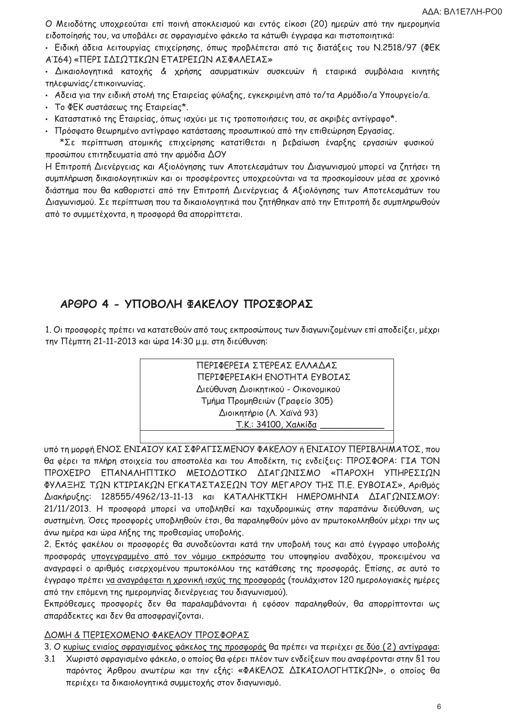Ο Μειοδότης υποχρεούται επί ποινή αποκλεισμού και εντός είκοσι (20) ημερών από την ημερομηνία ειδοποίησής του, να υποβάλει σε σφραγισμένο φάκελο τα κάτωθι έγγραφα και πιστοποιητικά:

• Ειδική άδεια λειτουργίας επιχείρησης, όπως προβλέπεται από τις διατάξεις του Ν.2518/97 (ΦΕΚ ΑΊ64) «ΠΕΡΙ ΙΔΙΩΤΙΚΩΝ ΕΤΑΙΡΕΙΩΝ ΑΣΦΑΛΕΙΑΣ»

• Δικαιολογητικά κατοχής & χρήσης ασυρματικών συσκευών ή εταιρικά συμβόλαια κινητής τηλεφωνίας/επικοινωνίας.

- Αδεια για την ειδική στολή της Εταιρείας φύλαξης, εγκεκριμένη από το/τα Αρμόδιο/α Υπουργείο/α.
- Το ΦΕΚ συστάσεως της Εταιρείας\*.
- Καταστατικό της Εταιρείας, όπως ισχύει με τις τροποποιήσεις του, σε ακριβές αντίγραφο\*.
- Πρόσφατο θεωρημένο αντίγραφο κατάστασης προσωπικού από την επιθεώρηση Εργασίας.

\*Σε περίπτωση ατομικής επιχείρησης κατατίθεται η βεβαίωση έναρξης εργασιών φυσικού προσώπου επιτηδευματία από την αρμόδια ΔΟΥ

Η Επιτροπή Διενέργειας και Αξιολόγησης των Αποτελεσμάτων του Διαγωνισμού μπορεί να ζητήσει τη συμπλήρωση δικαιολογητικών και οι προσφέροντες υποχρεούνται να τα προσκομίσουν μέσα σε χρονικό διάστημα που θα καθοριστεί από την Επιτροπή Διενέργειας & Αξιολόγησης των Αποτελεσμάτων του Διαγωνισμού. Σε περίπτωση που τα δικαιολογητικά που ζητήθηκαν από την Επιτροπή δε συμπληρωθούν από το συμμετέχοντα, η προσφορά θα απορρίπτεται.

# ΑΡΘΡΟ 4 - ΥΠΟΒΟΛΗ ΦΑΚΕΛΟΥ ΠΡΟΣΦΟΡΑΣ

1. Οι προσφορές πρέπει να κατατεθούν από τους εκπροσώπους των διαγωνιζομένων επί αποδείξει, μέχρι την Πέμπτη 21-11-2013 και ώρα 14:30 μ.μ. στη διεύθυνση:

> ΠΕΡΙΦΕΡΕΙΑ ΣΤΕΡΕΑΣ ΕΛΛΑΔΑΣ ΠΕΡΙΦΕΡΕΙΑΚΗ ΕΝΟΤΗΤΑ ΕΥΒΟΙΑΣ Διεύθυνση Διοικητικού - Οικονομικού Τμήμα Προμηθειών (Γραφείο 305) Διοικητήριο (Λ. Χαϊνά 93) Τ.Κ.: 34100, Χαλκίδα

υπό τη μορφή ΕΝΟΣ ΕΝΙΑΙΟΥ ΚΑΙ ΣΦΡΑΓΙΣΜΕΝΟΥ ΦΑΚΕΛΟΥ ή ΕΝΙΑΙΟΥ ΠΕΡΙΒΛΗΜΑΤΟΣ, που θα φέρει τα πλήρη στοιχεία του αποστολέα και του Αποδέκτη, τις ενδείξεις: ΠΡΟΣΦΟΡΑ: ΓΙΑ ΤΟΝ ΠΡΟΧΕΙΡΟ ΕΠΑΝΑΛΗΠΤΙΚΟ ΜΕΙΟΔΟΤΙΚΟ ΔΙΑΓΩΝΙΣΜΟ «ΠΑΡΟΧΗ ΥΠΗΡΕΣΙΩΝ ΦΥΛΑΞΗΣ ΤΩΝ ΚΤΙΡΙΑΚΩΝ ΕΓΚΑΤΑΣΤΑΣΕΩΝ ΤΟΥ ΜΕΓΑΡΟΥ ΤΗΣ Π.Ε. ΕΥΒΟΙΑΣ», Αριθμός Διακήρυξης: 128555/4962/13-11-13 και ΚΑΤΑΛΗΚΤΙΚΗ ΗΜΕΡΟΜΗΝΙΑ ΔΙΑΓΩΝΙΣΜΟΥ: 21/11/2013. Η προσφορά μπορεί να υποβληθεί και ταχυδρομικώς στην παραπάνω διεύθυνση, ως συστημένη. Όσες προσφορές υποβληθούν έτσι, θα παραληφθούν μόνο αν πρωτοκολληθούν μέχρι την ως άνω ημέρα και ώρα λήξης της προθεσμίας υποβολής.

2. Εκτός φακέλου οι προσφορές θα συνοδεύονται κατά την υποβολή τους και από έγγραφο υποβολής προσφοράς υπογεγραμμένο από τον νόμιμο εκπρόσωπο του υποψηφίου αναδόχου, προκειμένου να αναγραφεί ο αριθμός εισερχομένου πρωτοκόλλου της κατάθεσης της προσφοράς. Επίσης, σε αυτό το έγγραφο πρέπει να αναγράφεται η χρονική ισχύς της προσφοράς (τουλάχιστον 120 ημερολογιακές ημέρες από την επόμενη της ημερομηνίας διενέργειας του διαγωνισμού).

Εκπρόθεσμες προσφορές δεν θα παραλαμβάνονται ή εφόσον παραληφθούν, θα απορρίπτονται ως απαράδεκτες και δεν θα αποσφραγίζονται.

### ΔΟΜΗ & ΠΕΡΙΕΧΟΜΕΝΟ ΦΑΚΕΛΟΥ ΠΡΟΣΦΟΡΑΣ

3. Ο κυρίως ενιαίος σφραγισμένος φάκελος της προσφοράς θα πρέπει να περιέχει σε δύο (2) αντίγραφα:

3.1 Χωριστό σφραγισμένο φάκελο, ο οποίος θα φέρει πλέον των ενδείξεων που αναφέρονται στην §1 του παρόντος Άρθρου ανωτέρω και την εξής: «ΦΑΚΕΛΟΣ ΔΙΚΑΙΟΛΟΓΗΤΙΚΩΝ», ο οποίος θα περιέχει τα δικαιολογητικά συμμετοχής στον διαγωνισμό.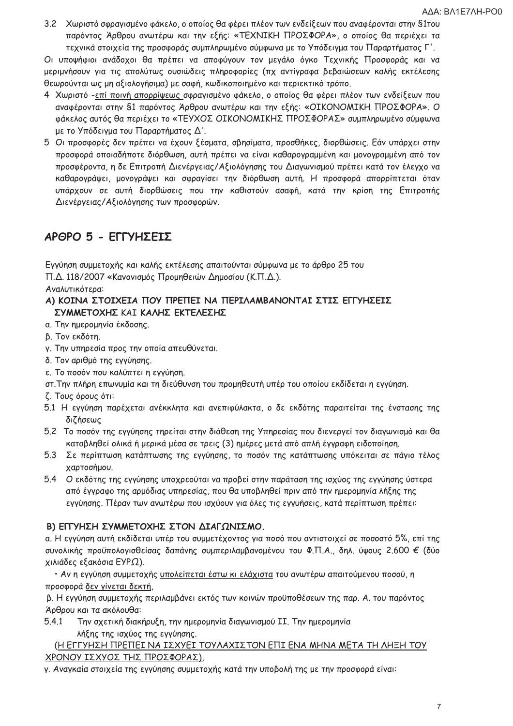3.2 Χωριστό σφραγισμένο φάκελο, ο οποίος θα φέρει πλέον των ενδείξεων που αναφέρονται στην §1του παρόντος Άρθρου ανωτέρω και την εξής: «ΤΕΧΝΙΚΗ ΠΡΟΣΦΟΡΑ», ο οποίος θα περιέχει τα τεχνικά στοιχεία της προσφοράς συμπληρωμένο σύμφωνα με το Υπόδειγμα του Παραρτήματος Γ'.

Οι υποψήφιοι ανάδοχοι θα πρέπει να αποφύγουν τον μεγάλο όγκο Τεχνικής Προσφοράς και να μεριμνήσουν για τις απολύτως ουσιώδεις πληροφορίες (πχ αντίγραφα βεβαιώσεων καλής εκτέλεσης θεωρούνται ως μη αξιολογήσιμα) με σαφή, κωδικοποιημένο και περιεκτικό τρόπο.

- 4 Χωριστό -επί ποινή απορρίψεως σφραγισμένο φάκελο, ο οποίος θα φέρει πλέον των ενδείξεων που αναφέρονται στην S1 παρόντος Άρθρου ανωτέρω και την εξής: «ΟΙΚΟΝΟΜΙΚΗ ΠΡΟΣΦΟΡΑ». Ο φάκελος αυτός θα περιέχει το «ΤΕΥΧΟΣ ΟΙΚΟΝΟΜΙΚΗΣ ΠΡΟΣΦΟΡΑΣ» συμπληρωμένο σύμφωνα με το Υπόδειγμα του Παραρτήματος  $\Delta'$ .
- 5 Οι προσφορές δεν πρέπει να έχουν ξέσματα, σβησίματα, προσθήκες, διορθώσεις. Εάν υπάρχει στην προσφορά οποιαδήποτε διόρθωση, αυτή πρέπει να είναι καθαρογραμμένη και μονογραμμένη από τον προσφέροντα, η δε Επιτροπή Διενέργειας/Αξιολόγησης του Διαγωνισμού πρέπει κατά τον έλεγχο να καθαρογράψει, μονογράψει και σφραγίσει την διόρθωση αυτή. Η προσφορά απορρίπτεται όταν υπάρχουν σε αυτή διορθώσεις που την καθιστούν ασαφή, κατά την κρίση της Επιτροπής Διενέργειας/Αξιολόγησης των προσφορών.

# ΑΡΘΡΟ 5 - ΕΓΓΥΗΣΕΙΣ

Εγγύηση συμμετοχής και καλής εκτέλεσης απαιτούνται σύμφωνα με το άρθρο 25 του Π.Δ. 118/2007 «Κανονισμός Προμηθειών Δημοσίου (Κ.Π.Δ.).

### Αναλυτικότερα:

### Α) ΚΟΙΝΑ ΣΤΟΙΧΕΙΑ ΠΟΥ ΠΡΕΠΕΙ ΝΑ ΠΕΡΙΛΑΜΒΑΝΟΝΤΑΙ ΣΤΙΣ ΕΓΓΥΗΣΕΙΣ ΣΥΜΜΕΤΟΧΗΣ ΚΑΙ ΚΑΛΗΣ ΕΚΤΕΛΕΣΗΣ

- α. Την ημερομηνία έκδοσης.
- β. Τον εκδότη.
- γ. Την υπηρεσία προς την οποία απευθύνεται.
- δ. Τον αριθμό της εγγύησης.
- ε. Το ποσόν που καλύπτει η εγγύηση.
- στ. Την πλήρη επωνυμία και τη διεύθυνση του προμηθευτή υπέρ του οποίου εκδίδεται η εγγύηση.
- ζ. Τους όρους ότι:
- 5.1 Η εγγύηση παρέχεται ανέκκλητα και ανεπιφύλακτα, ο δε εκδότης παραιτείται της ένστασης της διζήσεως
- 5.2 Το ποσόν της εγγύησης τηρείται στην διάθεση της Υπηρεσίας που διενεργεί τον διαγωνισμό και θα καταβληθεί ολικά ή μερικά μέσα σε τρεις (3) ημέρες μετά από απλή έγγραφη ειδοποίηση.
- 5.3 Σε περίπτωση κατάπτωσης της εγγύησης, το ποσόν της κατάπτωσης υπόκειται σε πάγιο τέλος χαρτοσήμου.
- 5.4 Ο εκδότης της εγγύησης υποχρεούται να προβεί στην παράταση της ισχύος της εγγύησης ύστερα από έγγραφο της αρμόδιας υπηρεσίας, που θα υποβληθεί πριν από την ημερομηνία λήξης της εγγύησης. Πέραν των ανωτέρω που ισχύουν για όλες τις εγγυήσεις, κατά περίπτωση πρέπει:

## Β) ΕΓΓΥΗΣΗ ΣΥΜΜΕΤΟΧΗΣ ΣΤΟΝ ΔΙΑΓΩΝΙΣΜΟ.

α. Η εγγύηση αυτή εκδίδεται υπέρ του συμμετέχοντος για ποσό που αντιστοιχεί σε ποσοστό 5%, επί της συνολικής προϋπολογισθείσας δαπάνης συμπεριλαμβανομένου του Φ.Π.Α., δηλ. ύψους 2.600 € (δύο χιλιάδες εξακόσια ΕΥΡΩ).

• Αν η εγγύηση συμμετοχής <u>υπολείπεται έστω κι ελάχιστα</u> του ανωτέρω απαιτούμενου ποσού, η προσφορά δεν γίνεται δεκτή,

β. Η εγγύηση συμμετοχής περιλαμβάνει εκτός των κοινών προϋποθέσεων της παρ. Α. του παρόντος Άρθρου και τα ακόλουθα:

 $5.4.1$ Την σχετική διακήρυξη, την ημερομηνία διαγωνισμού II. Την ημερομηνία λήξης της ισχύος της εγγύησης.

## (Η ΕΓΓΥΗΣΗ ΠΡΕΠΕΙ ΝΑ ΙΣΧΥΕΙ ΤΟΥΛΑΧΙΣΤΟΝ ΕΠΙ ΕΝΑ ΜΗΝΑ ΜΕΤΑ ΤΗ ΛΗΞΗ ΤΟΥ ΧΡΟΝΟΥ ΙΣΧΥΟΣ ΤΗΣ ΠΡΟΣΦΟΡΑΣ),

γ. Αναγκαία στοιχεία της εγγύησης συμμετοχής κατά την υποβολή της με την προσφορά είναι: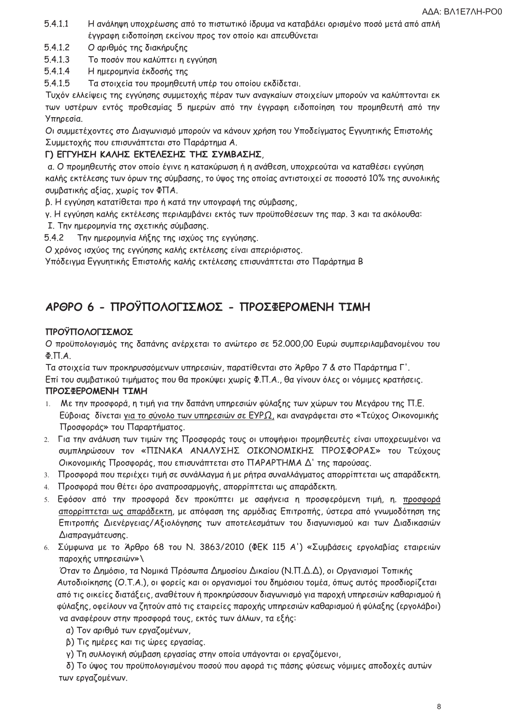- $5.4.1.1$ Η ανάληψη υποχρέωσης από το πιστωτικό ίδρυμα να καταβάλει ορισμένο ποσό μετά από απλή έγγραφη ειδοποίηση εκείνου προς τον οποίο και απευθύνεται
- $5.4.1.2$ Ο αριθμός της διακήρυξης
- $5.4.1.3$ Το ποσόν που καλύπτει η εγγύηση
- $5.4.1.4$ Η ημερομηνία έκδοσής της
- 5.4.1.5 Τα στοιχεία του προμηθευτή υπέρ του οποίου εκδίδεται.

Τυχόν ελλείψεις της εγγύησης συμμετοχής πέραν των αναγκαίων στοιχείων μπορούν να καλύπτονται εκ των υστέρων εντός προθεσμίας 5 ημερών από την έγγραφη ειδοποίηση του προμηθευτή από την Υπηρεσία.

Οι συμμετέχοντες στο Διαγωνισμό μπορούν να κάνουν χρήση του Υποδείγματος Εγγυητικής Επιστολής Συμμετοχής που επισυνάπτεται στο Παράρτημα Α.

## Γ) ΕΓΓΥΗΣΗ ΚΑΛΗΣ ΕΚΤΕΛΕΣΗΣ ΤΗΣ ΣΥΜΒΑΣΗΣ,

α. Ο προμηθευτής στον οποίο έγινε η κατακύρωση ή η ανάθεση, υποχρεούται να καταθέσει εγγύηση καλής εκτέλεσης των όρων της σύμβασης, το ύψος της οποίας αντιστοιχεί σε ποσοστό 10% της συνολικής συμβατικής αξίας, χωρίς τον ΦΠΑ.

β. Η εγγύηση κατατίθεται προ ή κατά την υπογραφή της σύμβασης,

γ. Η εγγύηση καλής εκτέλεσης περιλαμβάνει εκτός των προϋποθέσεων της παρ. 3 και τα ακόλουθα:

Ι. Την ημερομηνία της σχετικής σύμβασης.

 $5.4.2$ Την ημερομηνία λήξης της ισχύος της εγγύησης.

Ο χρόνος ισχύος της εγγύησης καλής εκτέλεσης είναι απεριόριστος.

Υπόδειγμα Εγγυητικής Επιστολής καλής εκτέλεσης επισυνάπτεται στο Παράρτημα Β

# ΑΡΘΡΟ 6 - ΠΡΟΫΠΟΛΟΓΙΣΜΟΣ - ΠΡΟΣΦΕΡΟΜΕΝΗ ΤΙΜΗ

### ΠΡΟΫΠΟΛΟΓΙΣΜΟΣ

Ο προϋπολογισμός της δαπάνης ανέρχεται το ανώτερο σε 52.000,00 Ευρώ συμπεριλαμβανομένου του  $\Phi$ .  $\Pi$ . A.

Τα στοιχεία των προκηρυσσόμενων υπηρεσιών, παρατίθενται στο Άρθρο 7 & στο Παράρτημα Γ'.

Επί του συμβατικού τιμήματος που θα προκύψει χωρίς Φ.Π.Α., θα γίνουν όλες οι νόμιμες κρατήσεις. ΠΡΟΣΦΕΡΟΜΕΝΗ ΤΙΜΗ

- Με την προσφορά, η τιμή για την δαπάνη υπηρεσιών φύλαξης των χώρων του Μεγάρου της Π.Ε.  $1.$ Εύβοιας δίνεται για το σύνολο των υπηρεσιών σε ΕΥΡΩ, και αναγράφεται στο «Τεύχος Οικονομικής Προσφοράς» του Παραρτήματος.
- 2. Για την ανάλυση των τιμών της Προσφοράς τους οι υποψήφιοι προμηθευτές είναι υποχρεωμένοι να συμπληρώσουν τον «ΠΙΝΑΚΑ ΑΝΑΛΥΣΗΣ ΟΙΚΟΝΟΜΙΚΗΣ ΠΡΟΣΦΟΡΑΣ» του Τεύχους Οικονομικής Προσφοράς, που επισυνάπτεται στο ΠΑΡΑΡΤΗΜΑ Δ' της παρούσας.
- 3. Προσφορά που περιέχει τιμή σε συνάλλαγμα ή με ρήτρα συναλλάγματος απορρίπτεται ως απαράδεκτη.
- 4. Προσφορά που θέτει όρο αναπροσαρμογής, απορρίπτεται ως απαράδεκτη.
- 5. Εφόσον από την προσφορά δεν προκύπτει με σαφήνεια η προσφερόμενη τιμή, η. προσφορά απορρίπτεται ως απαράδεκτη, με απόφαση της αρμόδιας Επιτροπής, ύστερα από γνωμοδότηση της Επιτροπής Διενέργειας/Αξιολόγησης των αποτελεσμάτων του διαγωνισμού και των Διαδικασιών Διαπραγμάτευσης.
- 6. Σύμφωνα με το Άρθρο 68 του Ν. 3863/2010 (ΦΕΚ 115 Α') «Συμβάσεις εργολαβίας εταιρειών παροχής υπηρεσιών»\

Όταν το Δημόσιο, τα Νομικά Πρόσωπα Δημοσίου Δικαίου (Ν.Π.Δ.Δ), οι Οργανισμοί Τοπικής Αυτοδιοίκησης (Ο.Τ.Α.), οι φορείς και οι οργανισμοί του δημόσιου τομέα, όπως αυτός προσδιορίζεται από τις οικείες διατάξεις, αναθέτουν ή προκηρύσσουν διαγωνισμό για παροχή υπηρεσιών καθαρισμού ή φύλαξης, οφείλουν να ζητούν από τις εταιρείες παροχής υπηρεσιών καθαρισμού ή φύλαξης (εργολάβοι) να αναφέρουν στην προσφορά τους, εκτός των άλλων, τα εξής:

- α) Τον αριθμό των εργαζομένων,
- β) Τις ημέρες και τις ώρες εργασίας.
- γ) Τη συλλογική σύμβαση εργασίας στην οποία υπάγονται οι εργαζόμενοι,

δ) Το ύψος του προϋπολογισμένου ποσού που αφορά τις πάσης φύσεως νόμιμες αποδοχές αυτών των εργαζομένων.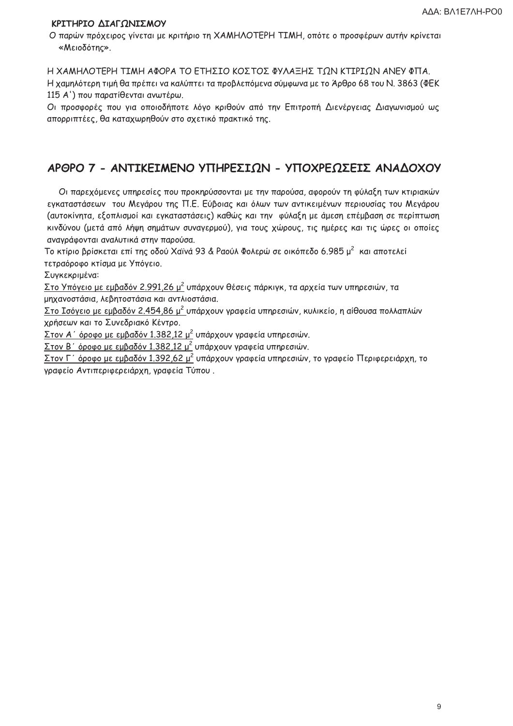### ΚΡΙΤΗΡΙΟ ΔΙΑΓΩΝΙΣΜΟΥ

Ο παρών πρόχειρος γίνεται με κριτήριο τη ΧΑΜΗΛΟΤΕΡΗ ΤΙΜΗ, οπότε ο προσφέρων αυτήν κρίνεται «Μειοδότης».

Η ΧΑΜΗΛΟΤΕΡΗ ΤΙΜΗ ΑΦΟΡΑ ΤΟ ΕΤΗΣΙΟ ΚΟΣΤΟΣ ΦΥΛΑΞΗΣ ΤΩΝ ΚΤΙΡΙΩΝ ΑΝΕΥ ΦΠΑ. Η χαμηλότερη τιμή θα πρέπει να καλύπτει τα προβλεπόμενα σύμφωνα με το Άρθρο 68 του Ν. 3863 (ΦΕΚ 115 Α') που παρατίθενται ανωτέρω.

Οι προσφορές που για οποιοδήποτε λόγο κριθούν από την Επιτροπή Διενέργειας Διαγωνισμού ως απορριπτέες, θα καταχωρηθούν στο σχετικό πρακτικό της.

# ΑΡΘΡΟ 7 - ΑΝΤΙΚΕΙΜΕΝΟ ΥΠΗΡΕΣΙΩΝ - ΥΠΟΧΡΕΩΣΕΙΣ ΑΝΑΔΟΧΟΥ

Οι παρεχόμενες υπηρεσίες που προκηρύσσονται με την παρούσα, αφορούν τη φύλαξη των κτιριακών εγκαταστάσεων του Μεγάρου της Π.Ε. Εύβοιας και όλων των αντικειμένων περιουσίας του Μεγάρου (αυτοκίνητα, εξοπλισμοί και εγκαταστάσεις) καθώς και την φύλαξη με άμεση επέμβαση σε περίπτωση κινδύνου (μετά από λήψη σημάτων συναγερμού), για τους χώρους, τις ημέρες και τις ώρες οι οποίες αναγράφονται αναλυτικά στην παρούσα.

Το κτίριο βρίσκεται επί της οδού Χαϊνά 93 & Ραούλ Φολερώ σε οικόπεδο 6.985 μ<sup>2</sup> και αποτελεί τετραόροφο κτίσμα με Υπόγειο.

Συγκεκριμένα:

Στο Υπόγειο με εμβαδόν 2.991,26 μ<sup>2</sup> υπάρχουν θέσεις πάρκιγκ, τα αρχεία των υπηρεσιών, τα μηχανοστάσια, λεβητοστάσια και αντλιοστάσια.

Στο Ισόγειο με εμβαδόν 2.454,86 μ<sup>2</sup> υπάρχουν γραφεία υπηρεσιών, κυλικείο, η αίθουσα πολλαπλών χρήσεων και το Συνεδριακό Κέντρο.

Στον Α΄ όροφο με εμβαδόν 1.382,12 μ<sup>2</sup> υπάρχουν γραφεία υπηρεσιών.

<u>Στον Β΄ όροφο με εμβαδόν 1.382,12 μ<sup>2</sup> υπάρχουν γραφεία υπηρεσιών.</u>

<u>Στον Γ΄ όροφο με εμβαδόν 1.392,62 μ<sup>2</sup> υπάρχουν γραφεία υπηρεσιών, το γραφείο Περιφερειάρχη, το</u> γραφείο Αντιπεριφερειάρχη, γραφεία Τύπου.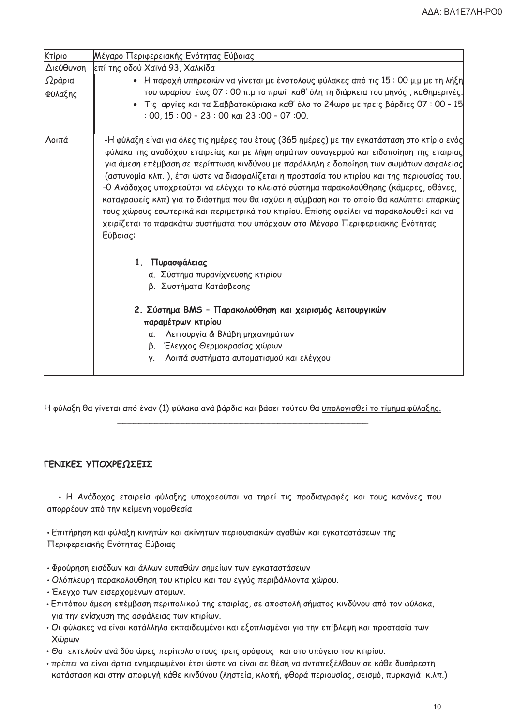| Κτίριο            | Μέγαρο Περιφερειακής Ενότητας Εύβοιας                                                                                                                                                                                                                                                                                                                                                                                                                                                                                                                                                                                                                                                                                                                                 |
|-------------------|-----------------------------------------------------------------------------------------------------------------------------------------------------------------------------------------------------------------------------------------------------------------------------------------------------------------------------------------------------------------------------------------------------------------------------------------------------------------------------------------------------------------------------------------------------------------------------------------------------------------------------------------------------------------------------------------------------------------------------------------------------------------------|
| Διεύθυνση         | επί της οδού Χαϊνά 93, Χαλκίδα                                                                                                                                                                                                                                                                                                                                                                                                                                                                                                                                                                                                                                                                                                                                        |
| Ωράρια<br>Φύλαξης | • Η παροχή υπηρεσιών να γίνεται με ένστολους φύλακες από τις 15 : 00 μ.μ με τη λήξη<br>του ωραρίου έως 07:00 π.μ το πρωί καθ' όλη τη διάρκεια του μηνός, καθημερινές.<br>- Τις αργίες και τα Σαββατοκύριακα καθ' όλο το 24ωρο με τρεις βάρδιες 07 : 00 - 15<br>$:$ 00, 15 $:$ 00 - 23 $:$ 00 $\kappa$ ai 23 $:$ 00 - 07 $:$ 00.                                                                                                                                                                                                                                                                                                                                                                                                                                       |
| Λοιπά             | -Η φύλαξη είναι για όλες τις ημέρες του έτους (365 ημέρες) με την εγκατάσταση στο κτίριο ενός<br>φύλακα της αναδόχου εταιρείας και με λήψη σημάτων συναγερμού και ειδοποίηση της εταιρίας<br>για άμεση επέμβαση σε περίπτωση κινδύνου με παράλληλη ειδοποίηση των σωμάτων ασφαλείας<br>(αστυνομία κλπ.), έτσι ώστε να διασφαλίζεται η προστασία του κτιρίου και της περιουσίας του.<br>-Ο Ανάδοχος υποχρεούται να ελέγχει το κλειστό σύστημα παρακολούθησης (κάμερες, οθόνες,<br>καταγραφείς κλπ) για το διάστημα που θα ισχύει η σύμβαση και το οποίο θα καλύπτει επαρκώς<br>τους χώρους εσωτερικά και περιμετρικά του κτιρίου. Επίσης οφείλει να παρακολουθεί και να<br>χειρίζεται τα παρακάτω συστήματα που υπάρχουν στο Μέγαρο Περιφερειακής Ενότητας<br>Εύβοιας: |
|                   | 1. Πυρασφάλειας<br>α. Σύστημα πυρανίχνευσης κτιρίου<br>β. Συστήματα Κατάσβεσης<br>2. Σύστημα BMS - Παρακολούθηση και χειρισμός λειτουργικών<br>παραμέτρων κτιρίου                                                                                                                                                                                                                                                                                                                                                                                                                                                                                                                                                                                                     |
|                   | α. Λειτουργία & Βλάβη μηχανημάτων<br>β. Έλεγχος Θερμοκρασίας χώρων<br>Λοιπά συστήματα αυτοματισμού και ελέγχου<br>V.                                                                                                                                                                                                                                                                                                                                                                                                                                                                                                                                                                                                                                                  |

Η φύλαξη θα γίνεται από έναν (1) φύλακα ανά βάρδια και βάσει τούτου θα υπολογισθεί το τίμημα φύλαξης.

### ΓΕΝΙΚΕΣ ΥΠΟΧΡΕΩΣΕΙΣ

• Η Ανάδοχος εταιρεία φύλαξης υποχρεούται να τηρεί τις προδιαγραφές και τους κανόνες που απορρέουν από την κείμενη νομοθεσία

• Επιτήρηση και φύλαξη κινητών και ακίνητων περιουσιακών αγαθών και εγκαταστάσεων της Περιφερειακής Ενότητας Εύβοιας

- Φρούρηση εισόδων και άλλων ευπαθών σημείων των εγκαταστάσεων
- Ολόπλευρη παρακολούθηση του κτιρίου και του εγγύς περιβάλλοντα χώρου.
- Έλεγχο των εισερχομένων ατόμων.
- Επιτόπου άμεση επέμβαση περιπολικού της εταιρίας, σε αποστολή σήματος κινδύνου από τον φύλακα, για την ενίσχυση της ασφάλειας των κτιρίων.
- Οι φύλακες να είναι κατάλληλα εκπαιδευμένοι και εξοπλισμένοι για την επίβλεψη και προστασία των Χώρων
- Θα εκτελούν ανά δύο ώρες περίπολο στους τρεις ορόφους και στο υπόγειο του κτιρίου.
- πρέπει να είναι άρτια ενημερωμένοι έτσι ώστε να είναι σε θέση να ανταπεξέλθουν σε κάθε δυσάρεστη κατάσταση και στην αποφυγή κάθε κινδύνου (ληστεία, κλοπή, φθορά περιουσίας, σεισμό, πυρκαγιά κ.λπ.)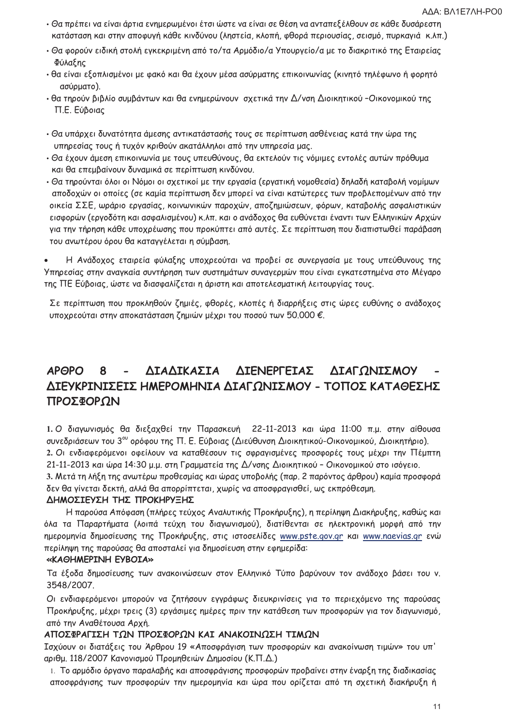- Θα πρέπει να είναι άρτια ενημερωμένοι έτσι ώστε να είναι σε θέση να ανταπεξέλθουν σε κάθε δυσάρεστη κατάσταση και στην αποφυγή κάθε κινδύνου (ληστεία, κλοπή, φθορά περιουσίας, σεισμό, πυρκαγιά κ.λπ.)
- Θα φορούν ειδική στολή εγκεκριμένη από το/τα Αρμόδιο/α Υπουργείο/α με το διακριτικό της Εταιρείας Φύλαξης
- θα είναι εξοπλισμένοι με φακό και θα έχουν μέσα ασύρματης επικοινωνίας (κινητό τηλέφωνο ή φορητό ασύρματο).
- θα τηρούν βιβλίο συμβάντων και θα ενημερώνουν σχετικά την Δ/νση Διοικητικού -Οικονομικού της Π.Ε. Εύβοιας
- Θα υπάρχει δυνατότητα άμεσης αντικατάστασής τους σε περίπτωση ασθένειας κατά την ώρα της υπηρεσίας τους ή τυχόν κριθούν ακατάλληλοι από την υπηρεσία μας.
- Θα έχουν άμεση επικοινωνία με τους υπευθύνους, θα εκτελούν τις νόμιμες εντολές αυτών πρόθυμα και θα επεμβαίνουν δυναμικά σε περίπτωση κινδύνου.
- Θα τηρούνται όλοι οι Νόμοι οι σχετικοί με την εργασία (εργατική νομοθεσία) δηλαδή καταβολή νομίμων αποδοχών οι οποίες (σε καμία περίπτωση δεν μπορεί να είναι κατώτερες των προβλεπομένων από την οικεία ΣΣΕ, ωράριο εργασίας, κοινωνικών παροχών, αποζημιώσεων, φόρων, καταβολής ασφαλιστικών εισφορών (εργοδότη και ασφαλισμένου) κ.λπ. και ο ανάδοχος θα ευθύνεται έναντι των Ελληνικών Αρχών για την τήρηση κάθε υποχρέωσης που προκύπτει από αυτές. Σε περίπτωση που διαπιστωθεί παράβαση του ανωτέρου όρου θα καταγγέλεται η σύμβαση.

Η Ανάδοχος εταιρεία φύλαξης υποχρεούται να προβεί σε συνεργασία με τους υπεύθυνους της Υπηρεσίας στην αναγκαία συντήρηση των συστημάτων συναγερμών που είναι εγκατεστημένα στο Μέγαρο της ΠΕ Εύβοιας, ώστε να διασφαλίζεται η άριστη και αποτελεσματική λειτουργίας τους.

Σε περίπτωση που προκληθούν ζημιές, φθορές, κλοπές ή διαρρήξεις στις ώρες ευθύνης ο ανάδοχος υποχρεούται στην αποκατάσταση ζημιών μέχρι του ποσού των 50.000 €.

#### ΔΙΑΔΙΚΑΣΙΑ ΔΙΕΝΕΡΓΕΙΑΣ ΔΙΑΓΩΝΙΣΜΟΥ **APOPO** 8 ΔΙΕΥΚΡΙΝΙΣΕΙΣ ΗΜΕΡΟΜΗΝΙΑ ΔΙΑΓΩΝΙΣΜΟΥ - ΤΟΠΟΣ ΚΑΤΑΘΕΣΗΣ ΠΡΟΣΦΟΡΩΝ

1. Ο διαγωνισμός θα διεξαχθεί την Παρασκευή 22-11-2013 και ώρα 11:00 π.μ. στην αίθουσα συνεδριάσεων του 3<sup>ου</sup> ορόφου της Π. Ε. Εύβοιας (Διεύθυνση Διοικητικού-Οικονομικού, Διοικητήριο). 2. Οι ενδιαφερόμενοι οφείλουν να καταθέσουν τις σφραγισμένες προσφορές τους μέχρι την Πέμπτη 21-11-2013 και ώρα 14:30 μ.μ. στη Γραμματεία της Δ/νσης Διοικητικού - Οικονομικού στο ισόγειο.

3. Μετά τη λήξη της ανωτέρω προθεσμίας και ώρας υποβολής (παρ. 2 παρόντος άρθρου) καμία προσφορά δεν θα γίνεται δεκτή, αλλά θα απορρίπτεται, χωρίς να αποσφραγισθεί, ως εκπρόθεσμη.

### ΔΗΜΟΣΙΕΥΣΗ ΤΗΣ ΠΡΟΚΗΡΥΞΗΣ

Η παρούσα Απόφαση (πλήρες τεύχος Αναλυτικής Προκήρυξης), η περίληψη Διακήρυξης, καθώς και όλα τα Παραρτήματα (λοιπά τεύχη του διαγωνισμού), διατίθενται σε ηλεκτρονική μορφή από την ημερομηνία δημοσίευσης της Προκήρυξης, στις ιστοσελίδες www.pste.gov.gr και www.naevias.gr ενώ περίληψη της παρούσας θα αποσταλεί για δημοσίευση στην εφημερίδα:

#### «KAOHMEPINH EYBOIA»

Τα έξοδα δημοσίευσης των ανακοινώσεων στον Ελληνικό Τύπο βαρύνουν τον ανάδοχο βάσει του ν. 3548/2007.

Οι ενδιαφερόμενοι μπορούν να ζητήσουν εγγράφως διευκρινίσεις για το περιεχόμενο της παρούσας Προκήρυξης, μέχρι τρεις (3) εργάσιμες ημέρες πριν την κατάθεση των προσφορών για τον διαγωνισμό, από την Αναθέτουσα Αρχή.

### ΑΠΟΣΦΡΑΓΙΣΗ ΤΩΝ ΠΡΟΣΦΟΡΩΝ ΚΑΙ ΑΝΑΚΟΙΝΩΣΗ ΤΙΜΩΝ

Ισχύουν οι διατάξεις του Άρθρου 19 «Αποσφράγιση των προσφορών και ανακοίνωση τιμών» του υπ' αριθμ. 118/2007 Κανονισμού Προμηθειών Δημοσίου (Κ.Π.Δ.)

1. Το αρμόδιο όργανο παραλαβής και αποσφράγισης προσφορών προβαίνει στην έναρξη της διαδικασίας αποσφράγισης των προσφορών την ημερομηνία και ώρα που ορίζεται από τη σχετική διακήρυξη ή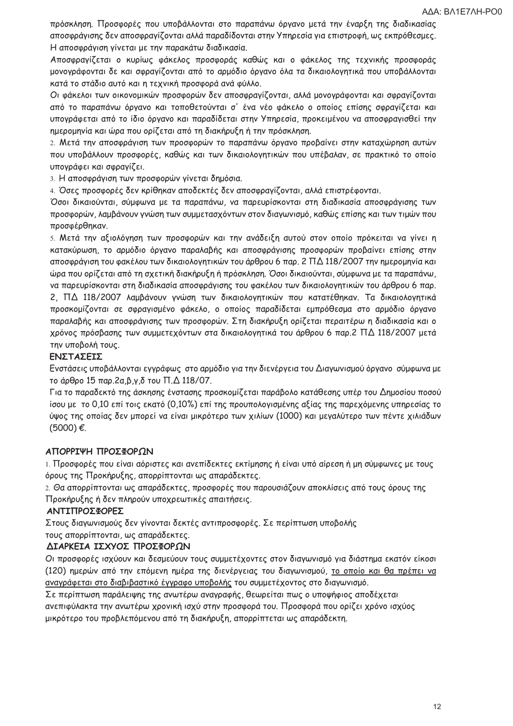πρόσκληση. Προσφορές που υποβάλλονται στο παραπάνω όργανο μετά την έναρξη της διαδικασίας αποσφράγισης δεν αποσφραγίζονται αλλά παραδίδονται στην Υπηρεσία για επιστροφή, ως εκπρόθεσμες. Η αποσφράγιση γίνεται με την παρακάτω διαδικασία.

Αποσφραγίζεται ο κυρίως φάκελος προσφοράς καθώς και ο φάκελος της τεχνικής προσφοράς μονογράφονται δε και σφραγίζονται από το αρμόδιο όργανο όλα τα δικαιολογητικά που υποβάλλονται κατά το στάδιο αυτό και η τεχνική προσφορά ανά φύλλο.

Οι φάκελοι των οικονομικών προσφορών δεν αποσφραγίζονται, αλλά μονογράφονται και σφραγίζονται από το παραπάνω όργανο και τοποθετούνται σ' ένα νέο φάκελο ο οποίος επίσης σφραγίζεται και υπογράφεται από το ίδιο όργανο και παραδίδεται στην Υπηρεσία, προκειμένου να αποσφραγισθεί την ημερομηνία και ώρα που ορίζεται από τη διακήρυξη ή την πρόσκληση.

2. Μετά την αποσφράγιση των προσφορών το παραπάνω όργανο προβαίνει στην καταχώρηση αυτών που υποβάλλουν προσφορές, καθώς και των δικαιολογητικών που υπέβαλαν, σε πρακτικό το οποίο υπογράφει και σφραγίζει.

3. Η αποσφράγιση των προσφορών γίνεται δημόσια.

4. Όσες προσφορές δεν κρίθηκαν αποδεκτές δεν αποσφραγίζονται, αλλά επιστρέφονται.

Όσοι δικαιούνται, σύμφωνα με τα παραπάνω, να παρευρίσκονται στη διαδικασία αποσφράγισης των προσφορών, λαμβάνουν γνώση των συμμετασχόντων στον διαγωνισμό, καθώς επίσης και των τιμών που προσφέρθηκαν.

5. Μετά την αξιολόγηση των προσφορών και την ανάδειξη αυτού στον οποίο πρόκειται να γίνει η κατακύρωση, το αρμόδιο όργανο παραλαβής και αποσφράγισης προσφορών προβαίνει επίσης στην αποσφράγιση του φακέλου των δικαιολογητικών του άρθρου 6 παρ. 2 ΠΔ 118/2007 την ημερομηνία και ώρα που ορίζεται από τη σχετική διακήρυξη ή πρόσκληση. Όσοι δικαιούνται, σύμφωνα με τα παραπάνω, να παρευρίσκονται στη διαδικασία αποσφράγισης του φακέλου των δικαιολογητικών του άρθρου 6 παρ. 2. ΠΔ 118/2007 λαμβάνουν γνώση των δικαιολογητικών που κατατέθηκαν. Τα δικαιολογητικά προσκομίζονται σε σφραγισμένο φάκελο, ο οποίος παραδίδεται εμπρόθεσμα στο αρμόδιο όργανο παραλαβής και αποσφράγισης των προσφορών. Στη διακήρυξη ορίζεται περαιτέρω η διαδικασία και ο χρόνος πρόσβασης των συμμετεχόντων στα δικαιολογητικά του άρθρου 6 παρ.2 ΠΔ 118/2007 μετά την υποβολή τους.

### ΕΝΣΤΑΣΕΙΣ

Ενστάσεις υποβάλλονται εγγράφως στο αρμόδιο για την διενέργεια του Διαγωνισμού όργανο σύμφωνα με το άρθρο 15 παρ.2α,β,γ,δ του Π.Δ 118/07.

Για το παραδεκτό της άσκησης ένστασης προσκομίζεται παράβολο κατάθεσης υπέρ του Δημοσίου ποσού ίσου με το 0,10 επί τοις εκατό (0,10%) επί της προυπολογισμένης αξίας της παρεχόμενης υπηρεσίας το ύψος της οποίας δεν μπορεί να είναι μικρότερο των χιλίων (1000) και μεγαλύτερο των πέντε χιλιάδων  $(5000) \notin$ .

### ΑΠΟΡΡΙΨΗ ΠΡΟΣΦΟΡΩΝ

1. Προσφορές που είναι αόριστες και ανεπίδεκτες εκτίμησης ή είναι υπό αίρεση ή μη σύμφωνες με τους όρους της Προκήρυξης, απορρίπτονται ως απαράδεκτες.

2. Θα απορρίπτονται ως απαράδεκτες, προσφορές που παρουσιάζουν αποκλίσεις από τους όρους της Προκήρυξης ή δεν πληρούν υποχρεωτικές απαιτήσεις.

#### ΑΝΤΙΠΡΟΣΦΟΡΕΣ

Στους διαγωνισμούς δεν γίνονται δεκτές αντιπροσφορές. Σε περίπτωση υποβολής τους απορρίπτονται, ως απαράδεκτες.

### ΔΙΑΡΚΕΙΑ ΙΣΧΥΟΣ ΠΡΟΣΦΟΡΩΝ

Οι προσφορές ισχύουν και δεσμεύουν τους συμμετέχοντες στον διαγωνισμό για διάστημα εκατόν είκοσι (120) ημερών από την επόμενη ημέρα της διενέργειας του διαγωνισμού, το οποίο και θα πρέπει να αναγράφεται στο διαβιβαστικό έγγραφο υποβολής του συμμετέχοντος στο διαγωνισμό.

Σε περίπτωση παράλειψης της ανωτέρω αναγραφής, θεωρείται πως ο υποψήφιος αποδέχεται ανεπιφύλακτα την ανωτέρω χρονική ισχύ στην προσφορά του. Προσφορά που ορίζει χρόνο ισχύος μικρότερο του προβλεπόμενου από τη διακήρυξη, απορρίπτεται ως απαράδεκτη.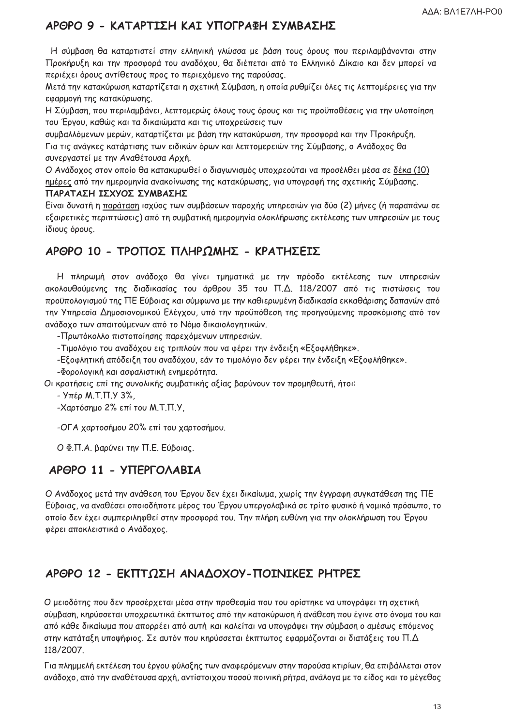# ΑΡΘΡΟ 9 - ΚΑΤΑΡΤΙΣΗ ΚΑΙ ΥΠΟΓΡΑΦΗ ΣΥΜΒΑΣΗΣ

Η σύμβαση θα καταρτιστεί στην ελληνική γλώσσα με βάση τους όρους που περιλαμβάνονται στην Προκήρυξη και την προσφορά του αναδόχου. Θα διέπεται από το Ελληνικό Δίκαιο και δεν μπορεί να περιέχει όρους αντίθετους προς το περιεχόμενο της παρούσας.

Μετά την κατακύρωση καταρτίζεται η σχετική Σύμβαση, η οποία ρυθμίζει όλες τις λεπτομέρειες για την εφαρμογή της κατακύρωσης.

Η Σύμβαση, που περιλαμβάνει, λεπτομερώς όλους τους όρους και τις προϋποθέσεις για την υλοποίηση του Έργου, καθώς και τα δικαιώματα και τις υποχρεώσεις των

συμβαλλόμενων μερών, καταρτίζεται με βάση την κατακύρωση, την προσφορά και την Προκήρυξη. Για τις ανάγκες κατάρτισης των ειδικών όρων και λεπτομερειών της Σύμβασης, ο Ανάδοχος θα συνεργαστεί με την Αναθέτουσα Αρχή.

Ο Ανάδοχος στον οποίο θα κατακυρωθεί ο διαγωνισμός υποχρεούται να προσέλθει μέσα σε δέκα (10) ημέρες από την ημερομηνία ανακοίνωσης της κατακύρωσης, για υπογραφή της σχετικής Σύμβασης. ΠΑΡΑΤΑΣΗ ΙΣΧΥΟΣ ΣΥΜΒΑΣΗΣ

Είναι δυνατή η παράταση ισχύος των συμβάσεων παροχής υπηρεσιών για δύο (2) μήνες (ή παραπάνω σε εξαιρετικές περιπτώσεις) από τη συμβατική ημερομηνία ολοκλήρωσης εκτέλεσης των υπηρεσιών με τους ίδιους όρους.

# ΑΡΘΡΟ 10 - ΤΡΟΠΟΣ ΠΛΗΡΩΜΗΣ - ΚΡΑΤΗΣΕΙΣ

Η πληρωμή στον ανάδοχο θα γίνει τμηματικά με την πρόοδο εκτέλεσης των υπηρεσιών ακολουθούμενης της διαδικασίας του άρθρου 35 του Π.Δ. 118/2007 από τις πιστώσεις του προϋπολογισμού της ΠΕ Εύβοιας και σύμφωνα με την καθιερωμένη διαδικασία εκκαθάρισης δαπανών από την Υπηρεσία Δημοσιονομικού Ελέγχου, υπό την προϋπόθεση της προηγούμενης προσκόμισης από τον ανάδοχο των απαιτούμενων από το Νόμο δικαιολογητικών.

-Πρωτόκολλο πιστοποίησης παρεχόμενων υπηρεσιών.

-Τιμολόγιο του αναδόχου εις τριπλούν που να φέρει την ένδειξη «Εξοφλήθηκε».

-Εξοφλητική απόδειξη του αναδόχου, εάν το τιμολόγιο δεν φέρει την ένδειξη «Εξοφλήθηκε».

- Φορολογική και ασφαλιστική ενημερότητα.

Οι κρατήσεις επί της συνολικής συμβατικής αξίας βαρύνουν τον προμηθευτή, ήτοι:

- Υπέρ Μ.Τ.Π.Υ 3%,

-Χαρτόσημο 2% επί του Μ.Τ.Π.Υ,

-ΟΓΑ χαρτοσήμου 20% επί του χαρτοσήμου.

Ο Φ.Π.Α. βαρύνει την Π.Ε. Εύβοιας.

# APOPO 11 - YTTEPFOAABIA

Ο Ανάδοχος μετά την ανάθεση του Έργου δεν έχει δικαίωμα, χωρίς την έγγραφη συγκατάθεση της ΠΕ Εύβοιας, να αναθέσει οποιοδήποτε μέρος του Έργου υπεργολαβικά σε τρίτο φυσικό ή νομικό πρόσωπο, το οποίο δεν έχει συμπεριληφθεί στην προσφορά του. Την πλήρη ευθύνη για την ολοκλήρωση του Έργου φέρει αποκλειστικά ο Ανάδοχος.

# ΑΡΘΡΟ 12 - ΕΚΠΤΟΣΗ ΑΝΑΛΟΧΟΥ-ΠΟΙΝΙΚΕΣ ΡΗΤΡΕΣ

Ο μειοδότης που δεν προσέρχεται μέσα στην προθεσμία που του ορίστηκε να υπογράψει τη σχετική σύμβαση, κηρύσσεται υποχρεωτικά έκπτωτος από την κατακύρωση ή ανάθεση που έγινε στο όνομα του και από κάθε δικαίωμα που απορρέει από αυτή και καλείται να υπογράψει την σύμβαση ο αμέσως επόμενος στην κατάταξη υποψήφιος. Σε αυτόν που κηρύσσεται έκπτωτος εφαρμόζονται οι διατάξεις του Π.Δ 118/2007.

Για πλημμελή εκτέλεση του έργου φύλαξης των αναφερόμενων στην παρούσα κτιρίων, θα επιβάλλεται στον ανάδοχο, από την αναθέτουσα αρχή, αντίστοιχου ποσού ποινική ρήτρα, ανάλογα με το είδος και το μέγεθος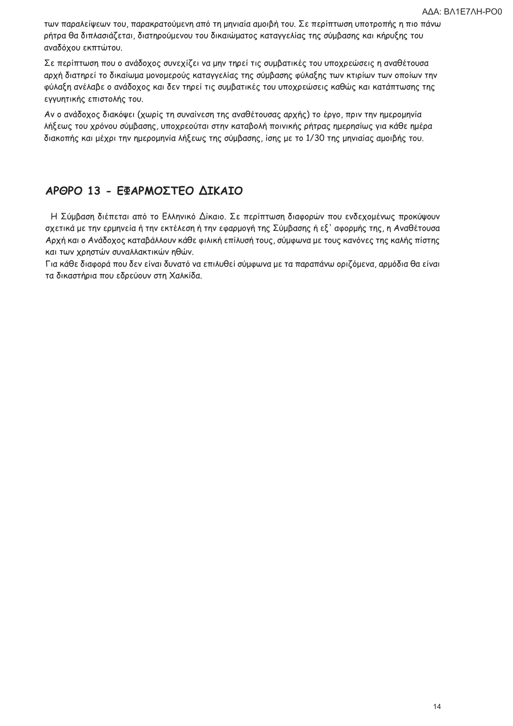των παραλείψεων του, παρακρατούμενη από τη μηνιαία αμοιβή του. Σε περίπτωση υποτροπής η πιο πάνω ρήτρα θα διπλασιάζεται, διατηρούμενου του δικαιώματος καταγγελίας της σύμβασης και κήρυξης του αναδόχου εκπτώτου.

Σε περίπτωση που ο ανάδοχος συνεχίζει να μην τηρεί τις συμβατικές του υποχρεώσεις η αναθέτουσα αρχή διατηρεί το δικαίωμα μονομερούς καταγγελίας της σύμβασης φύλαξης των κτιρίων των οποίων την φύλαξη ανέλαβε ο ανάδοχος και δεν τηρεί τις συμβατικές του υποχρεώσεις καθώς και κατάπτωσης της εγγυητικής επιστολής του.

Αν ο ανάδοχος διακόψει (χωρίς τη συναίνεση της αναθέτουσας αρχής) το έργο, πριν την ημερομηνία λήξεως του χρόνου σύμβασης, υποχρεούται στην καταβολή ποινικής ρήτρας ημερησίως για κάθε ημέρα διακοπής και μέχρι την ημερομηνία λήξεως της σύμβασης, ίσης με το 1/30 της μηνιαίας αμοιβής του.

# ΑΡΘΡΟ 13 - ΕΦΑΡΜΟΣΤΕΟ ΔΙΚΑΙΟ

Η Σύμβαση διέπεται από το Ελληνικό Δίκαιο. Σε περίπτωση διαφορών που ενδεχομένως προκύψουν σχετικά με την ερμηνεία ή την εκτέλεση ή την εφαρμογή της Σύμβασης ή εξ' αφορμής της, η Αναθέτουσα Αρχή και ο Ανάδοχος καταβάλλουν κάθε φιλική επίλυσή τους, σύμφωνα με τους κανόνες της καλής πίστης και των χρηστών συναλλακτικών ηθών.

Για κάθε διαφορά που δεν είναι δυνατό να επιλυθεί σύμφωνα με τα παραπάνω οριζόμενα, αρμόδια θα είναι τα δικαστήρια που εδρεύουν στη Χαλκίδα.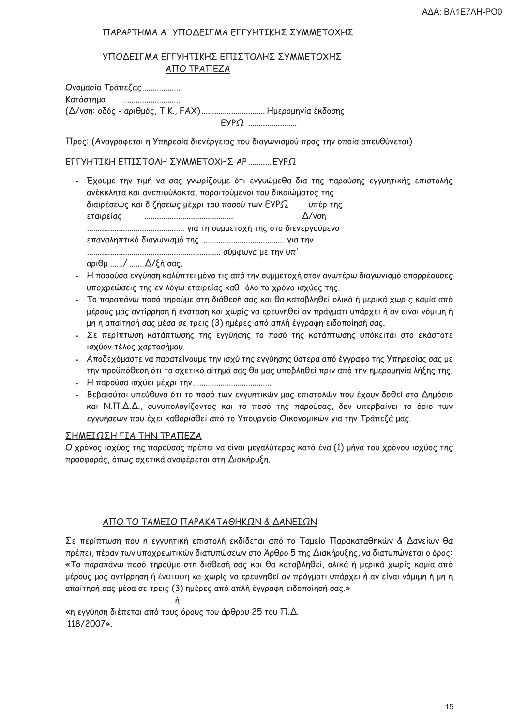### ΠΑΡΑΡΤΗΜΑ Α' ΥΠΟΔΕΙΓΜΑ ΕΓΓΥΗΤΙΚΗΣ ΣΥΜΜΕΤΟΧΗΣ

### ΥΠΟΔΕΙΓΜΑ ΕΓΓΥΗΤΙΚΗΣ ΕΠΙΣΤΟΛΗΣ ΣΥΜΜΕΤΟΧΗΣ ΑΠΟ ΤΡΑΠΕΖΑ

Ονομασία Τράπεζας.................. Κατάστημα (Δ/νση: οδός - αριθμός, Τ.Κ., FAX).............................. Ημερομηνία έκδοσης 

Προς: (Αναγράφεται η Υπηρεσία διενέργειας του διαγωνισμού προς την οποία απευθύνεται)

ΕΓΓΥΗΤΙΚΗ ΕΠΙΣΤΟΛΗ ΣΥΜΜΕΤΟΧΗΣ ΑΡ........... ΕΥΡΩ

. Έχουμε την τιμή να σας γνωρίζουμε ότι εγγυώμεθα δια της παρούσης εγγυητικής επιστολής ανέκκλητα και ανεπιφύλακτα, παραιτούμενοι του δικαιώματος της διαιρέσεως και διζήσεως μέχρι του ποσού των ΕΥΡΩ υπέρ της εταιρείας Δ/νση 

αριθμ......./ ....... Δ/ξή σας.

- . Η παρούσα εγγύηση καλύπτει μόνο τις από την συμμετοχή στον ανωτέρω διαγωνισμό απορρέουσες υποχρεώσεις της εν λόγω εταιρείας καθ' όλο το χρόνο ισχύος της.
- . Το παραπάνω ποσό τηρούμε στη διάθεσή σας και θα καταβληθεί ολικά ή μερικά χωρίς καμία από μέρους μας αντίρρηση ή ένσταση και χωρίς να ερευνηθεί αν πράγματι υπάρχει ή αν είναι νόμιμη ή μη η απαίτησή σας μέσα σε τρεις (3) ημέρες από απλή έγγραφη ειδοποίησή σας.
- . Σε περίπτωση κατάπτωσης της εγγύησης το ποσό της κατάπτωσης υπόκειται στο εκάστοτε ισχύον τέλος χαρτοσήμου.
- . Αποδεχόμαστε να παρατείνουμε την ισχύ της εγγύησης ύστερα από έγγραφο της Υπηρεσίας σας με την προϋπόθεση ότι το σχετικό αίτημά σας θα μας υποβληθεί πριν από την ημερομηνία λήξης της.
- 
- . Βεβαιούται υπεύθυνα ότι το ποσό των εγγυητικών μας επιστολών που έχουν δοθεί στο Δημόσιο και Ν.Π.Δ.Δ., συνυπολογίζοντας και το ποσό της παρούσας, δεν υπερβαίνει το όριο των εγγυήσεων που έχει καθορισθεί από το Υπουργείο Οικονομικών για την Τράπεζά μας.

### ΣΗΜΕΙΩΣΗ ΓΙΑ ΤΗΝ ΤΡΑΠΕΖΑ

Ο χρόνος ισχύος της παρούσας πρέπει να είναι μεγαλύτερος κατά ένα (1) μήνα του χρόνου ισχύος της προσφοράς, όπως σχετικά αναφέρεται στη Διακήρυξη.

#### ΑΠΟ ΤΟ ΤΑΜΕΙΟ ΠΑΡΑΚΑΤΑΘΗΚΩΝ & ΔΑΝΕΙΩΝ

Σε περίπτωση που η εγγυητική επιστολή εκδίδεται από το Ταμείο Παρακαταθηκών & Δανείων θα πρέπει, πέραν των υποχρεωτικών διατυπώσεων στο Άρθρο 5 της Διακήρυξης, να διατυπώνεται ο όρος: «Το παραπάνω ποσό τηρούμε στη διάθεσή σας και θα καταβληθεί, ολικά ή μερικά χωρίς καμία από μέρους μας αντίρρηση ή ένσταση και χωρίς να ερευνηθεί αν πράγματι υπάρχει ή αν είναι νόμιμη ή μη η απαίτησή σας μέσα σε τρεις (3) ημέρες από απλή έγγραφη ειδοποίησή σας.»

«η εννύηση διέπεται από τους όρους του άρθρου 25 του Π.Δ. 118/2007».

ń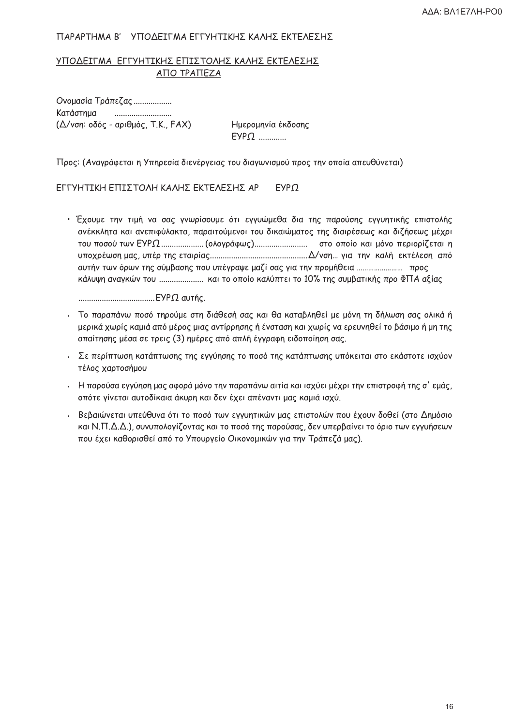#### ΠΑΡΑΡΤΗΜΑ Β' ΥΠΟΔΕΙΓΜΑ ΕΓΓΥΗΤΙΚΗΣ ΚΑΛΗΣ ΕΚΤΕΛΕΣΗΣ

### ΥΠΟΔΕΙΓΜΑ ΕΓΓΥΗΤΙΚΗΣ ΕΠΙΣΤΟΛΗΣ ΚΑΛΗΣ ΕΚΤΕΛΕΣΗΣ ΑΠΟ ΤΡΑΠΕΖΑ

Oνομασία Τράπεζας .................. Κατάστημα (Δ/νση: οδός - αριθμός, Τ.Κ., FAX)

Ημερομηνία έκδοσης  $EYP\Omega$  ............

Προς: (Αναγράφεται η Υπηρεσία διενέργειας του διαγωνισμού προς την οποία απευθύνεται)

ΕΓΓΥΗΤΙΚΗ ΕΠΙΣΤΟΛΗ ΚΑΛΗΣ ΕΚΤΕΛΕΣΗΣ ΑΡ  $EYPQ$ 

• Έχουμε την τιμή να σας γνωρίσουμε ότι εγγυώμεθα δια της παρούσης εγγυητικής επιστολής ανέκκλητα και ανεπιφύλακτα, παραιτούμενοι του δικαιώματος της διαιρέσεως και διζήσεως μέχρι αυτήν των όρων της σύμβασης που υπέγραψε μαζί σας για την προμήθεια ........................... προς κάλυψη αναγκών του ....................... και το οποίο καλύπτει το 10% της συμβατικής προ ΦΠΑ αξίας

- . Το παραπάνω ποσό τηρούμε στη διάθεσή σας και θα καταβληθεί με μόνη τη δήλωση σας ολικά ή μερικά χωρίς καμιά από μέρος μιας αντίρρησης ή ένσταση και χωρίς να ερευνηθεί το βάσιμο ή μη της απαίτησης μέσα σε τρεις (3) ημέρες από απλή έγγραφη ειδοποίηση σας.
- . Σε περίπτωση κατάπτωσης της εγγύησης το ποσό της κατάπτωσης υπόκειται στο εκάστοτε ισχύον τέλος χαρτοσήμου
- . Η παρούσα εγγύηση μας αφορά μόνο την παραπάνω αιτία και ισχύει μέχρι την επιστροφή της σ' εμάς, οπότε γίνεται αυτοδίκαια άκυρη και δεν έχει απέναντι μας καμιά ισχύ.
- . Βεβαιώνεται υπεύθυνα ότι το ποσό των εγγυητικών μας επιστολών που έχουν δοθεί (στο Δημόσιο και Ν.Π.Δ.Δ.), συνυπολογίζοντας και το ποσό της παρούσας, δεν υπερβαίνει το όριο των εγγυήσεων που έχει καθορισθεί από το Υπουργείο Οικονομικών για την Τράπεζά μας).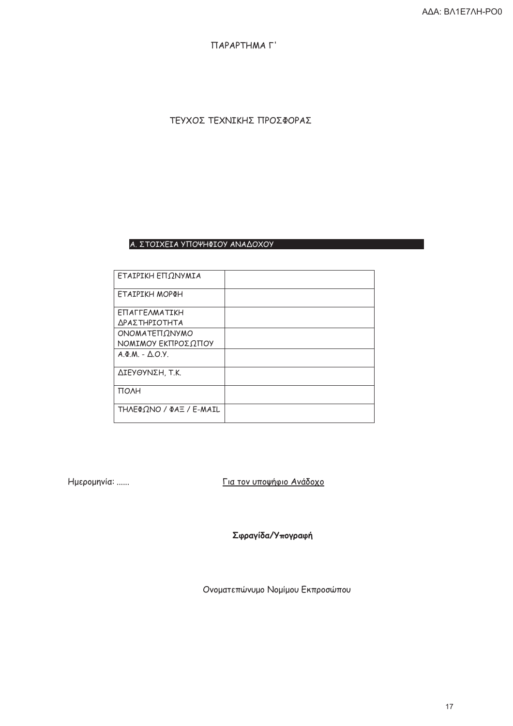ПАРАРТНМА Г'

ΤΕΥΧΟΣ ΤΕΧΝΙΚΗΣ ΠΡΟΣΦΟΡΑΣ

### Α. ΣΤΟΙΧΕΙΑ ΥΠΟΨΗΦΙΟΥ ΑΝΑΔΟΧΟΥ

| ΕΤΑΙΡΙΚΗ ΕΠΩΝΥΜΙΑ       |  |
|-------------------------|--|
| ΕΤΑΙΡΙΚΗ ΜΟΡΦΗ          |  |
| <b>ETTALLEVAMATIKH</b>  |  |
| ΔΡΑΣΤΗΡΙΟΤΗΤΑ           |  |
| ΟΝΟΜΑΤΕΠΩΝΥΜΟ           |  |
| ΝΟΜΙΜΟΥ ΕΚΠΡΟΣΩΠΟΥ      |  |
| $A \Phi M - \Delta Q Y$ |  |
| ΔΙΕΥΘΥΝΣΗ, Τ.Κ.         |  |
| <b>TOAH</b>             |  |
| ΤΗΛΕΦΩΝΟ / ΦΑΞ / Ε-ΜΑΙL |  |

Ημερομηνία: ......

Για τον υποψήφιο Ανάδοχο

Σφραγίδα/Υπογραφή

Ονοματεπώνυμο Νομίμου Εκπροσώπου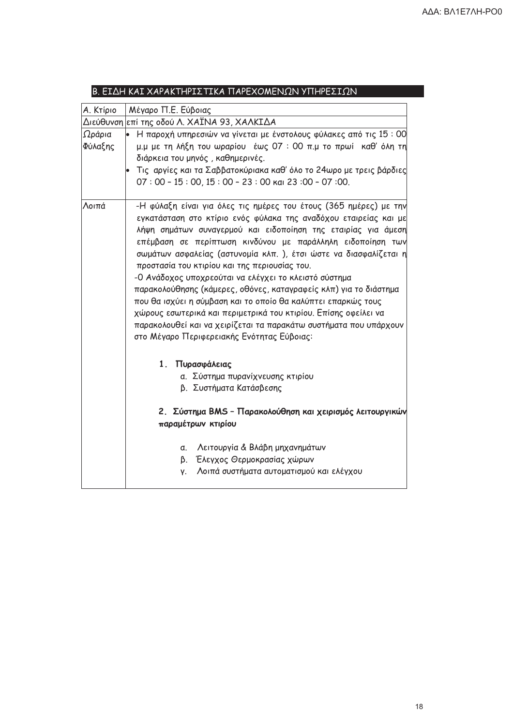| Α. Κτίριο<br>Ωράρια<br>Φύλαξης<br>Λοιπά | Μέγαρο Π.Ε. Εύβοιας<br>Διεύθυνση <mark>επί της οδού Λ. ΧΑΪΝΑ 93, ΧΑΛΚΙΔΑ</mark><br>• Η παροχή υπηρεσιών να γίνεται με ένστολους φύλακες από τις 15 : 00<br>διάρκεια του μηνός, καθημερινές.<br>$07:00 - 15:00, 15:00 - 23:00$ Kai 23:00 - 07:00.<br>εγκατάσταση στο κτίριο ενός φύλακα της αναδόχου εταιρείας και με<br>επέμβαση σε περίπτωση κινδύνου με παράλληλη ειδοποίηση των<br>προστασία του κτιρίου και της περιουσίας του.<br>-Ο Ανάδοχος υποχρεούται να ελέγχει το κλειστό σύστημα<br>παρακολούθησης (κάμερες, οθόνες, καταγραφείς κλπ) για το διάστημα |
|-----------------------------------------|-------------------------------------------------------------------------------------------------------------------------------------------------------------------------------------------------------------------------------------------------------------------------------------------------------------------------------------------------------------------------------------------------------------------------------------------------------------------------------------------------------------------------------------------------------------------|
|                                         | μ.μ με τη λήξη του ωραρίου έως 07:00 π.μ το πρωί καθ' όλη τη<br>Τις αργίες και τα Σαββατοκύριακα καθ' όλο το 24ωρο με τρεις βάρδιες<br>-Η φύλαξη είναι για όλες τις ημέρες του έτους (365 ημέρες) με την<br>λήψη σημάτων συναγερμού και ειδοποίηση της εταιρίας για άμεση<br>σωμάτων ασφαλείας (αστυνομία κλπ.), έτσι ώστε να διασφαλίζεται η                                                                                                                                                                                                                     |
|                                         |                                                                                                                                                                                                                                                                                                                                                                                                                                                                                                                                                                   |
|                                         |                                                                                                                                                                                                                                                                                                                                                                                                                                                                                                                                                                   |
|                                         | που θα ισχύει η σύμβαση και το οποίο θα καλύπτει επαρκώς τους<br>χώρους εσωτερικά και περιμετρικά του κτιρίου. Επίσης οφείλει να<br>παρακολουθεί και να χειρίζεται τα παρακάτω συστήματα που υπάρχουν<br>στο Μέγαρο Περιφερειακής Ενότητας Εύβοιας:                                                                                                                                                                                                                                                                                                               |
|                                         | 1. Πυρασφάλειας<br>α. Σύστημα πυρανίχνευσης κτιρίου<br>β. Συστήματα Κατάσβεσης<br>2. Σύστημα BMS - Παρακολούθηση και χειρισμός λειτουργικών<br>παραμέτρων κτιρίου                                                                                                                                                                                                                                                                                                                                                                                                 |
|                                         |                                                                                                                                                                                                                                                                                                                                                                                                                                                                                                                                                                   |
|                                         | Λειτουργία & Βλάβη μηχανημάτων<br>α.                                                                                                                                                                                                                                                                                                                                                                                                                                                                                                                              |
|                                         | β. Έλεγχος Θερμοκρασίας χώρων                                                                                                                                                                                                                                                                                                                                                                                                                                                                                                                                     |
|                                         | Λοιπά συστήματα αυτοματισμού και ελέγχου<br>γ.                                                                                                                                                                                                                                                                                                                                                                                                                                                                                                                    |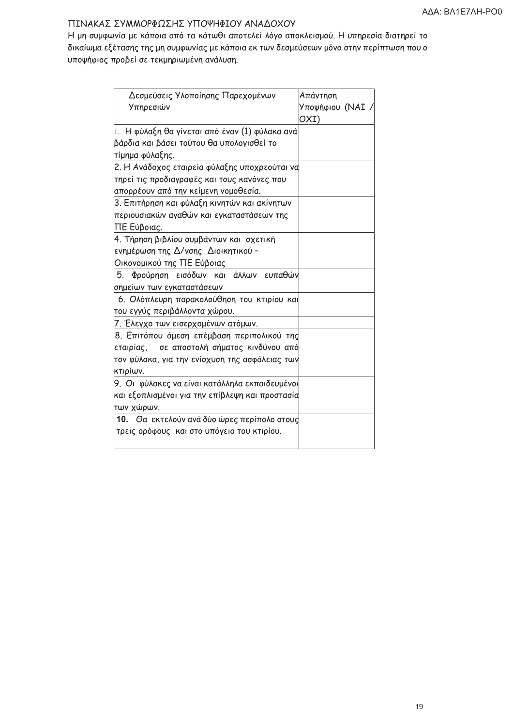### ΠΙΝΑΚΑΣ ΣΥΜΜΟΡΦΩΣΗΣ ΥΠΟΨΗΦΙΟΥ ΑΝΑΔΟΧΟΥ

Η μη συμφωνία με κάποια από τα κάτωθι αποτελεί λόγο αποκλεισμού. Η υπηρεσία διατηρεί το δικαίωμα εξέτασης της μη συμφωνίας με κάποια εκ των δεσμεύσεων μόνο στην περίπτωση που ο υποψήφιος προβεί σε τεκμηριωμένη ανάλυση.

| Δεσμεύσεις Υλοποίησης Παρεχομένων<br>Υπηρεσιών           | Απάντηση<br>Υποψήφιου (ΝΑΙ /<br>OXI) |
|----------------------------------------------------------|--------------------------------------|
| 1. Η φύλαξη θα γίνεται από έναν (1) φύλακα ανά           |                                      |
| βάρδια και βάσει τούτου θα υπολογισθεί το                |                                      |
| τίμημα φύλαξης.                                          |                                      |
| 2. Η Ανάδοχος εταιρεία φύλαξης υποχρεούται να            |                                      |
| τηρεί τις προδιαγραφές και τους κανόνες που              |                                      |
| απορρέουν από την κείμενη νομοθεσία.                     |                                      |
| 3. Επιτήρηση και φύλαξη κινητών και ακίνητων             |                                      |
| περιουσιακών αγαθών και εγκαταστάσεων της<br>ΠΕ Εύβοιας. |                                      |
| 4. Τήρηση βιβλίου συμβάντων και σχετική                  |                                      |
| ενημέρωση της Δ/νσης Διοικητικού -                       |                                      |
| Οικονομικού της ΠΕ Εύβοιας                               |                                      |
| 5. Φρούρηση εισόδων και άλλων ευπαθών                    |                                      |
| σημείων των εγκαταστάσεων                                |                                      |
| 6. Ολόπλευρη παρακολούθηση του κτιρίου και               |                                      |
| του εγγύς περιβάλλοντα χώρου.                            |                                      |
| 7. Έλεγχο των εισερχομένων ατόμων.                       |                                      |
| 8. Επιτόπου άμεση επέμβαση περιπολικού της               |                                      |
| εταιρίας, σε αποστολή σήματος κινδύνου από               |                                      |
| τον φύλακα, για την ενίσχυση της ασφάλειας των           |                                      |
| κτιρίων.                                                 |                                      |
| 9. Οι φύλακες να είναι κατάλληλα εκπαιδευμένοι           |                                      |
| και εξοπλισμένοι για την επίβλεψη και προστασία          |                                      |
| των χώρων.                                               |                                      |
| 10. Θα εκτελούν ανά δύο ώρες περίπολο στους              |                                      |
| τρεις ορόφους και στο υπόγειο του κτιρίου.               |                                      |
|                                                          |                                      |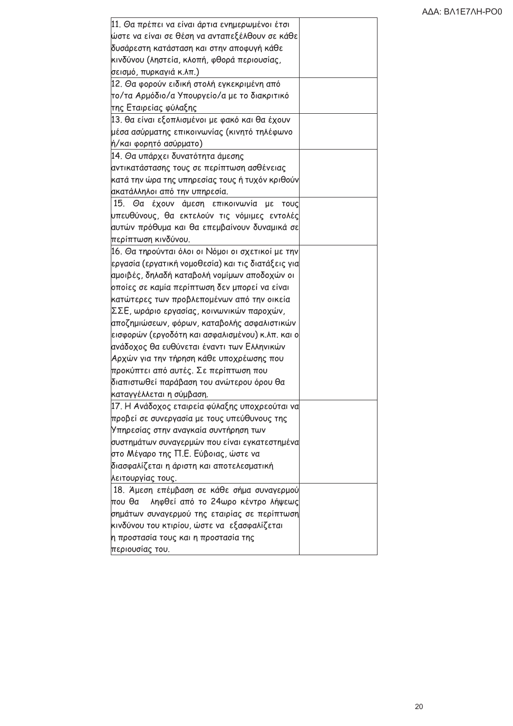| 11. Θα πρέπει να είναι άρτια ενημερωμένοι έτσι<br>ώστε να είναι σε θέση να ανταπεξέλθουν σε κάθε<br>δυσάρεστη κατάσταση και στην αποφυγή κάθε<br>κινδύνου (ληστεία, κλοπή, φθορά περιουσίας, |  |
|----------------------------------------------------------------------------------------------------------------------------------------------------------------------------------------------|--|
| σεισμό, πυρκαγιά κ.λπ.)                                                                                                                                                                      |  |
| 12. Θα φορούν ειδική στολή εγκεκριμένη από                                                                                                                                                   |  |
| το/τα Αρμόδιο/α Υπουργείο/α με το διακριτικό                                                                                                                                                 |  |
| της Εταιρείας φύλαξης                                                                                                                                                                        |  |
| 13. θα είναι εξοπλισμένοι με φακό και θα έχουν                                                                                                                                               |  |
| μέσα ασύρματης επικοινωνίας (κινητό τηλέφωνο                                                                                                                                                 |  |
| ή/και φορητό ασύρματο)                                                                                                                                                                       |  |
| 14. Θα υπάρχει δυνατότητα άμεσης                                                                                                                                                             |  |
| αντικατάστασης τους σε περίπτωση ασθένειας                                                                                                                                                   |  |
| κατά την ώρα της υπηρεσίας τους ή τυχόν κριθούν                                                                                                                                              |  |
| ακατάλληλοι από την υπηρεσία.                                                                                                                                                                |  |
| 15. Θα έχουν άμεση επικοινωνία με<br>ΤΟυς                                                                                                                                                    |  |
| υπευθύνους, θα εκτελούν τις νόμιμες εντολές                                                                                                                                                  |  |
| αυτών πρόθυμα και θα επεμβαίνουν δυναμικά σε                                                                                                                                                 |  |
| περίπτωση κινδύνου.                                                                                                                                                                          |  |
| 16. Θα τηρούνται όλοι οι Νόμοι οι σχετικοί με την                                                                                                                                            |  |
| εργασία (εργατική νομοθεσία) και τις διατάξεις για                                                                                                                                           |  |
| αμοιβές, δηλαδή καταβολή νομίμων αποδοχών οι                                                                                                                                                 |  |
| οποίες σε καμία περίπτωση δεν μπορεί να είναι                                                                                                                                                |  |
| κατώτερες των προβλεπομένων από την οικεία                                                                                                                                                   |  |
| ΣΣΕ, ωράριο εργασίας, κοινωνικών παροχών,                                                                                                                                                    |  |
| αποζημιώσεων, φόρων, καταβολής ασφαλιστικών                                                                                                                                                  |  |
| εισφορών (εργοδότη και ασφαλισμένου) κ.λπ. και ο                                                                                                                                             |  |
| ανάδοχος θα ευθύνεται έναντι των Ελληνικών                                                                                                                                                   |  |
| Αρχών για την τήρηση κάθε υποχρέωσης που                                                                                                                                                     |  |
| προκύπτει από αυτές. Σε περίπτωση που                                                                                                                                                        |  |
| διαπιστωθεί παράβαση του ανώτερου όρου θα                                                                                                                                                    |  |
| καταγγέλλεται η σύμβαση.                                                                                                                                                                     |  |
| 17. Η Ανάδοχος εταιρεία φύλαξης υποχρεούται να                                                                                                                                               |  |
| προβεί σε συνεργασία με τους υπεύθυνους της                                                                                                                                                  |  |
| Υπηρεσίας στην αναγκαία συντήρηση των                                                                                                                                                        |  |
| συστημάτων συναγερμών που είναι εγκατεστημένα                                                                                                                                                |  |
| στο Μέγαρο της Π.Ε. Εύβοιας, ώστε να                                                                                                                                                         |  |
| διασφαλίζεται η άριστη και αποτελεσματική                                                                                                                                                    |  |
| λειτουργίας τους.                                                                                                                                                                            |  |
| 18. Άμεση επέμβαση σε κάθε σήμα συναγερμού                                                                                                                                                   |  |
| ληφθεί από το 24ωρο κέντρο λήψεως<br>που θα                                                                                                                                                  |  |
| σημάτων συναγερμού της εταιρίας σε περίπτωση                                                                                                                                                 |  |
| κινδύνου του κτιρίου, ώστε να εξασφαλίζεται                                                                                                                                                  |  |
| η προστασία τους και η προστασία της                                                                                                                                                         |  |
| περιουσίας του.                                                                                                                                                                              |  |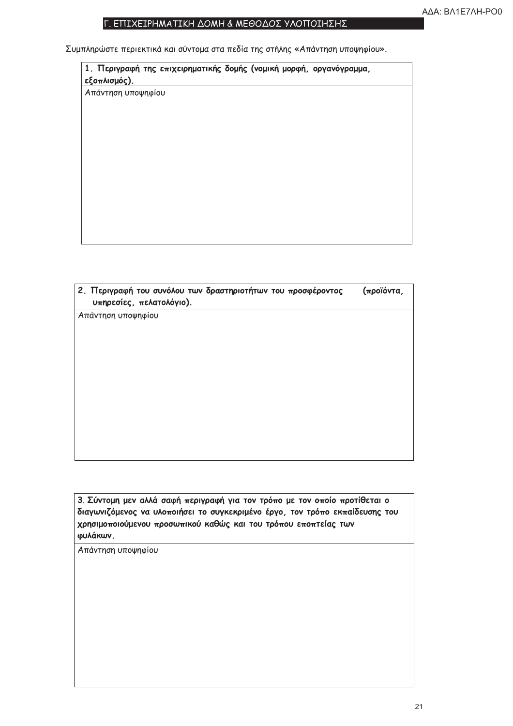### Γ. ΕΠΙΧΕΙΡΗΜΑΤΙΚΗ ΔΟΜΗ & ΜΕΘΟΔΟΣ ΥΛΟΠΟΙΗΣΗΣ

Συμπληρώστε περιεκτικά και σύντομα στα πεδία της στήλης «Απάντηση υποψηφίου».

| εξοπλισμός).       | 1. Περιγραφή της επιχειρηματικής δομής (νομική μορφή, οργανόγραμμα, |
|--------------------|---------------------------------------------------------------------|
| Απάντηση υποψηφίου |                                                                     |
|                    |                                                                     |
|                    |                                                                     |
|                    |                                                                     |
|                    |                                                                     |
|                    |                                                                     |
|                    |                                                                     |
|                    |                                                                     |
|                    |                                                                     |

| 2. Περιγραφή του συνόλου των δραστηριοτήτων του προσφέροντος<br>υπηρεσίες, πελατολόγιο). | (προϊόντα, |
|------------------------------------------------------------------------------------------|------------|
| Απάντηση υποψηφίου                                                                       |            |
|                                                                                          |            |
|                                                                                          |            |
|                                                                                          |            |
|                                                                                          |            |
|                                                                                          |            |
|                                                                                          |            |

3. Σύντομη μεν αλλά σαφή περιγραφή για τον τρόπο με τον οποίο προτίθεται ο διαγωνιζόμενος να υλοποιήσει το συγκεκριμένο έργο, τον τρόπο εκπαίδευσης του χρησιμοποιούμενου προσωπικού καθώς και του τρόπου εποπτείας των φυλάκων.

Απάντηση υποψηφίου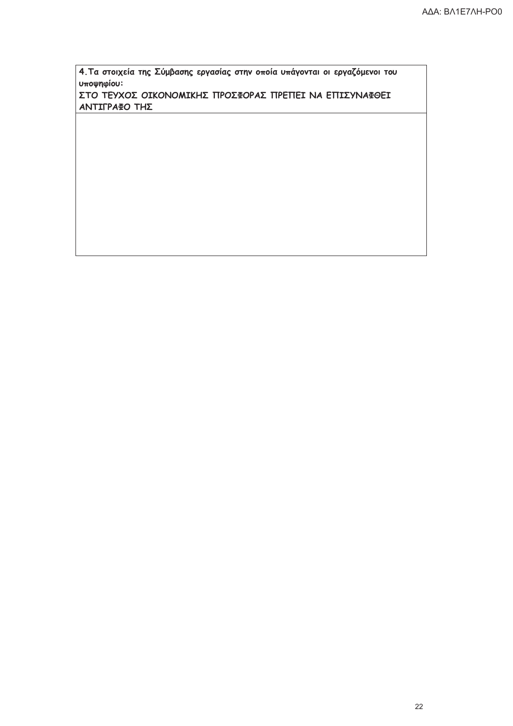4. Τα στοιχεία της Σύμβασης εργασίας στην οποία υπάγονται οι εργαζόμενοι του υποψηφίου:

ΣΤΟ ΤΕΥΧΟΣ ΟΙΚΟΝΟΜΙΚΗΣ ΠΡΟΣΦΟΡΑΣ ΠΡΕΠΕΙ ΝΑ ΕΠΙΣΥΝΑΦΘΕΙ ΑΝΤΙΓΡΑΦΟ ΤΗΣ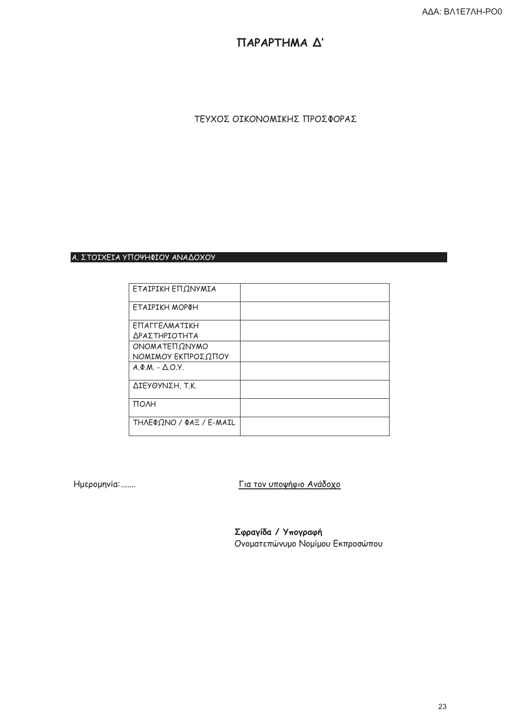# ПАРАРТНМА Д'

## ΤΕΥΧΟΣ ΟΙΚΟΝΟΜΙΚΗΣ ΠΡΟΣΦΟΡΑΣ

#### Α. ΣΤΟΙΧΕΙΑ ΥΠΟΨΗΦΙΟΥ ΑΝΑΔΟΧΟΥ

| ΕΤΑΙΡΙΚΗ ΕΠΩΝΥΜΙΑ         |  |
|---------------------------|--|
| ΕΤΑΙΡΙΚΗ ΜΟΡΦΗ            |  |
| ΕΠΑΓΓΕΛΜΑΤΙΚΗ             |  |
| ΔΡΑΣΤΗΡΙΟΤΗΤΑ             |  |
| ΟΝΟΜΑΤΕΠΩΝΥΜΟ             |  |
| ΝΟΜΙΜΟΥ ΕΚΠΡΟΣΩΠΟΥ        |  |
| $A.\Phi.M. - \Delta.O.Y.$ |  |
| ΔΙΕΥΘΥΝΣΗ, Τ.Κ.           |  |
| <b>TOAH</b>               |  |
| ΤΗΛΕΦΩΝΟ / ΦΑΞ / Ε-ΜΑΙL   |  |

Ημερομηνία: .......

Για τον υποψήφιο Ανάδοχο

Σφραγίδα / Υπογραφή Ονοματεπώνυμο Νομίμου Εκπροσώπου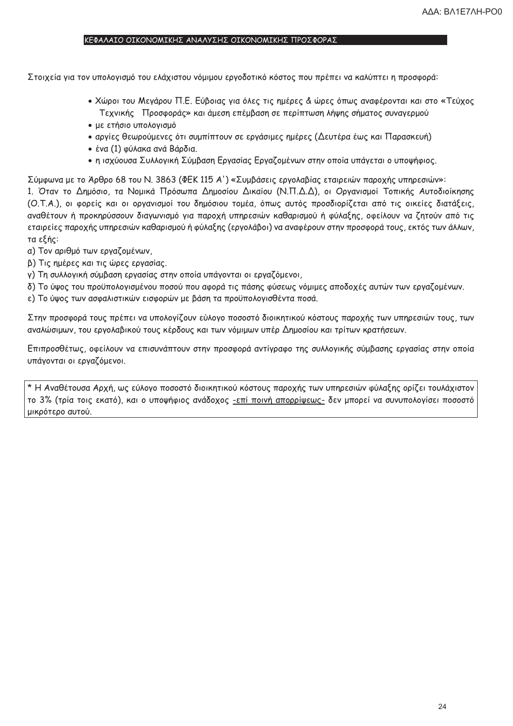#### ΚΕΦΑΛΑΙΟ ΟΙΚΟΝΟΜΙΚΗΣ ΑΝΑΛΥΣΗΣ ΟΙΚΟΝΟΜΙΚΗΣ ΠΡΟΣΦΟΡΑΣ

Στοιχεία για τον υπολογισμό του ελάχιστου νόμιμου εργοδοτικό κόστος που πρέπει να καλύπτει η προσφορά:

- Χώροι του Μεγάρου Π.Ε. Εύβοιας για όλες τις ημέρες & ώρες όπως αναφέρονται και στο «Τεύχος Τεχνικής Προσφοράς» και άμεση επέμβαση σε περίπτωση λήψης σήματος συναγερμού
- με ετήσιο υπολογισμό
- αργίες θεωρούμενες ότι συμπίπτουν σε εργάσιμες ημέρες (Δευτέρα έως και Παρασκευή)
- ένα (1) φύλακα ανά Βάρδια.
- η ισχύουσα Συλλογική Σύμβαση Εργασίας Εργαζομένων στην οποία υπάγεται ο υποψήφιος.

Σύμφωνα με το Άρθρο 68 του Ν. 3863 (ΦΕΚ 115 Α') «Συμβάσεις εργολαβίας εταιρειών παροχής υπηρεσιών»: 1. Όταν το Δημόσιο, τα Νομικά Πρόσωπα Δημοσίου Δικαίου (Ν.Π.Δ.Δ), οι Οργανισμοί Τοπικής Αυτοδιοίκησης (Ο.Τ.Α.), οι φορείς και οι οργανισμοί του δημόσιου τομέα, όπως αυτός προσδιορίζεται από τις οικείες διατάξεις, αναθέτουν ή προκηρύσσουν διαγωνισμό για παροχή υπηρεσιών καθαρισμού ή φύλαξης, οφείλουν να ζητούν από τις εταιρείες παροχής υπηρεσιών καθαρισμού ή φύλαξης (εργολάβοι) να αναφέρουν στην προσφορά τους, εκτός των άλλων, τα εξής:

- α) Τον αριθμό των εργαζομένων,
- β) Τις ημέρες και τις ώρες εργασίας.
- γ) Τη συλλογική σύμβαση εργασίας στην οποία υπάγονται οι εργαζόμενοι,
- δ) Το ύψος του προϋπολογισμένου ποσού που αφορά τις πάσης φύσεως νόμιμες αποδοχές αυτών των εργαζομένων.
- ε) Το ύψος των ασφαλιστικών εισφορών με βάση τα προϋπολογισθέντα ποσά.

Στην προσφορά τους πρέπει να υπολογίζουν εύλογο ποσοστό διοικητικού κόστους παροχής των υπηρεσιών τους, των αναλώσιμων, του εργολαβικού τους κέρδους και των νόμιμων υπέρ Δημοσίου και τρίτων κρατήσεων.

Επιπροσθέτως, οφείλουν να επισυνάπτουν στην προσφορά αντίγραφο της συλλογικής σύμβασης εργασίας στην οποία υπάγονται οι εργαζόμενοι.

\* Η Αναθέτουσα Αρχή, ως εύλογο ποσοστό διοικητικού κόστους παροχής των υπηρεσιών φύλαξης ορίζει τουλάχιστον το 3% (τρία τοις εκατό), και ο υποψήφιος ανάδοχος -επί ποινή απορρίψεως- δεν μπορεί να συνυπολογίσει ποσοστό μικρότερο αυτού.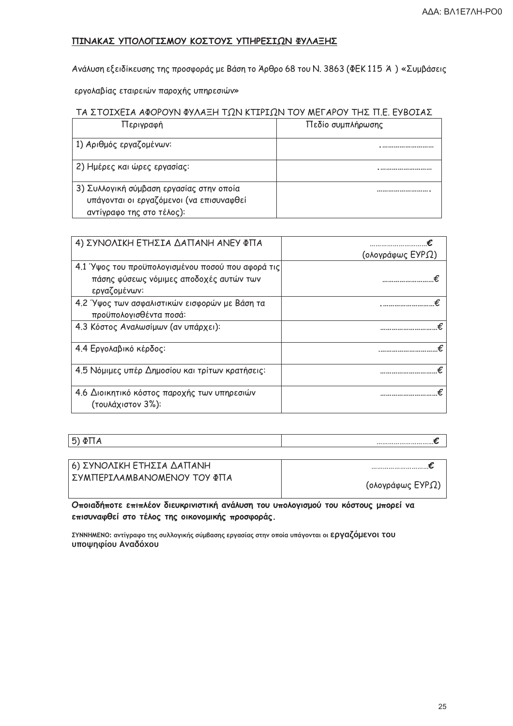## ΠΙΝΑΚΑΣ ΥΠΟΛΟΓΙΣΜΟΥ ΚΟΣΤΟΥΣ ΥΠΗΡΕΣΙΩΝ ΦΥΛΑΞΗΣ

Ανάλυση εξειδίκευσης της προσφοράς με Βάση το Άρθρο 68 του Ν. 3863 (ΦΕΚ115 Ά) «Συμβάσεις

εργολαβίας εταιρειών παροχής υπηρεσιών»

#### ΤΑ ΣΤΟΙΧΕΙΑ ΑΦΟΡΟΥΝ ΦΥΛΑΞΗ ΤΩΝ ΚΤΙΡΙΩΝ ΤΟΥ ΜΕΓΑΡΟΥ ΤΗΣ Π.Ε. ΕΥΒΟΙΑΣ

| Περιγραφή                                                                                                         | Πεδίο συμπλήρωσης |
|-------------------------------------------------------------------------------------------------------------------|-------------------|
| 1) Αριθμός εργαζομένων:                                                                                           |                   |
| 2) Ημέρες και ώρες εργασίας:                                                                                      |                   |
| 3) Συλλογική σύμβαση εργασίας στην οποία<br>υπάγονται οι εργαζόμενοι (να επισυναφθεί<br>αντίγραφο της στο τέλος): |                   |

| 4) ΣΥΝΟΛΙΚΗ ΕΤΗΣΙΑ ΔΑΠΑΝΗ ΑΝΕΥ ΦΠΑ                                                                           |                  |
|--------------------------------------------------------------------------------------------------------------|------------------|
|                                                                                                              | (ολογράφως ΕΥΡΩ) |
| 4.1 Ύψος του προϋπολογισμένου ποσού που αφορά τις<br>πάσης φύσεως νόμιμες αποδοχές αυτών των<br>εργαζομένων: |                  |
| 4.2 Ύψος των ασφαλιστικών εισφορών με Βάση τα<br>προϋπολογισθέντα ποσά:                                      |                  |
| 4.3 Κόστος Αναλωσίμων (αν υπάρχει):                                                                          |                  |
| 4.4 Εργολαβικό κέρδος:                                                                                       |                  |
| 4.5 Νόμιμες υπέρ Δημοσίου και τρίτων κρατήσεις:                                                              |                  |
| 4.6 Διοικητικό κόστος παροχής των υπηρεσιών<br>(τουλάχιστον 3%):                                             |                  |

 $5)$   $\Phi$ TTA

| 6) ΣΥΝΟΛΙΚΗ ΕΤΗΣΙΑ ΔΑΠΑΝΗ   |                  |
|-----------------------------|------------------|
| ΣΥΜΠΕΡΙΛΑΜΒΑΝΟΜΕΝΟΥ ΤΟΥ ΦΠΑ | (ολογράφως ΕΥΡΩ) |

Οποιαδήποτε επιπλέον διευκρινιστική ανάλυση του υπολογισμού του κόστους μπορεί να επισυναφθεί στο τέλος της οικονομικής προσφοράς.

ΣΥΝΝΗΜΕΝΟ: αντίγραφο της συλλογικής σύμβασης εργασίας στην οποία υπάγονται οι Εργαζόμενοι του υποψηφίου Αναδόχου

 $\epsilon$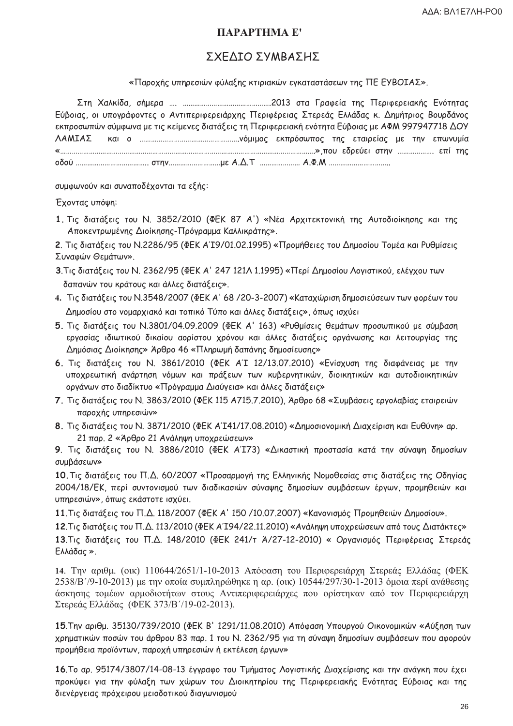# ПАРАРТНМА Е'

# ΣΧΕΔΙΟ ΣΥΜΒΑΣΗΣ

«Παροχής υπηρεσιών φύλαξης κτιριακών εγκαταστάσεων της ΠΕ ΕΥΒΟΙΑΣ».

Εύβοιας, οι υπογράφοντες ο Αντιπεριφερειάρχης Περιφέρειας Στερεάς Ελλάδας κ. Δημήτριος Βουρδάνος εκπροσωπών σύμφωνα με τις κείμενες διατάξεις τη Περιφερειακή ενότητα Εύβοιας με ΑΦΜ 997947718 ΔΟΥ ΛΑΜΙΑΣ 

συμφωνούν και συναποδέχονται τα εξής:

Έχοντας υπόψη:

1. Τις διατάξεις του Ν. 3852/2010 (ΦΕΚ 87 Α') «Νέα Αρχιτεκτονική της Αυτοδιοίκησης και της Αποκεντρωμένης Διοίκησης-Πρόγραμμα Καλλικράτης».

2. Τις διατάξεις του Ν.2286/95 (ΦΕΚ Α'Ι9/01.02.1995) «Προμήθειες του Δημοσίου Τομέα και Ρυθμίσεις Συναφών Θεμάτων».

- 3. Τις διατάξεις του Ν. 2362/95 (ΦΕΚ Α' 247 121Λ 1.1995) «Περί Δημοσίου Λογιστικού, ελέγχου των δαπανών του κράτους και άλλες διατάξεις».
- 4. Τις διατάξεις του Ν.3548/2007 (ΦΕΚ Α' 68/20-3-2007) «Καταχώριση δημοσιεύσεων των φορέων του Δημοσίου στο νομαρχιακό και τοπικό Τύπο και άλλες διατάξεις», όπως ισχύει
- 5. Τις διατάξεις του Ν.3801/04.09.2009 (ΦΕΚ Α' 163) «Ρυθμίσεις θεμάτων προσωπικού με σύμβαση εργασίας ιδιωτικού δικαίου αορίστου χρόνου και άλλες διατάξεις οργάνωσης και λειτουργίας της Δημόσιας Διοίκησης» Άρθρο 46 «Πληρωμή δαπάνης δημοσίευσης»
- 6. Τις διατάξεις του Ν. 3861/2010 (ΦΕΚ ΑΊ 12/13.07.2010) «Ενίσχυση της διαφάνειας με την υποχρεωτική ανάρτηση νόμων και πράξεων των κυβερνητικών, διοικητικών και αυτοδιοικητικών οργάνων στο διαδίκτυο «Πρόγραμμα Διαύγεια» και άλλες διατάξεις»
- 7. Τις διατάξεις του Ν. 3863/2010 (ΦΕΚ 115 Α715.7.2010), Άρθρο 68 «Συμβάσεις εργολαβίας εταιρειών παροχής υπηρεσιών»
- 8. Τις διατάξεις του Ν. 3871/2010 (ΦΕΚ Α'Ι41/17.08.2010) «Δημοσιονομική Διαχείριση και Ευθύνη» αρ. 21 παρ. 2 «Άρθρο 21 Ανάληψη υποχρεώσεων»

9. Τις διατάξεις του Ν. 3886/2010 (ΦΕΚ ΑΊΤ73) «Δικαστική προστασία κατά την σύναψη δημοσίων συμβάσεων»

10. Τις διατάξεις του Π.Δ. 60/2007 «Προσαρμογή της Ελληνικής Νομοθεσίας στις διατάξεις της Οδηγίας 2004/18/ΕΚ, περί συντονισμού των διαδικασιών σύναψης δημοσίων συμβάσεων έργων, προμηθειών και υπηρεσιών», όπως εκάστοτε ισχύει.

11. Τις διατάξεις του Π.Δ. 118/2007 (ΦΕΚ Α' 150 /10.07.2007) «Κανονισμός Προμηθειών Δημοσίου».

12. Τις διατάξεις του Π.Δ. 113/2010 (ΦΕΚ Α'Ι94/22.11.2010) «Ανάληψη υποχρεώσεων από τους Διατάκτες» 13. Τις διατάξεις του Π.Δ. 148/2010 (ΦΕΚ 241/τ Ά/27-12-2010) « Οργανισμός Περιφέρειας Στερεάς Ελλάδας».

14. Την αριθμ. (οικ) 110644/2651/1-10-2013 Απόφαση του Περιφερειάργη Στερεάς Ελλάδας (ΦΕΚ  $2538/B'/9-10-2013$ ) με την οποία συμπληρώθηκε η αρ. (οικ) 10544/297/30-1-2013 όμοια περί ανάθεσης άσκησης τομέων αρμοδιοτήτων στους Αντιπεριφερειάρχες που ορίστηκαν από τον Περιφερειάρχη Στερεάς Ελλάδας (ΦΕΚ 373/Β'/19-02-2013).

15. Την αριθμ. 35130/739/2010 (ΦΕΚ Β' 1291/11.08.2010) Απόφαση Υπουργού Οικονομικών «Αύξηση των χρηματικών ποσών του άρθρου 83 παρ. 1 του Ν. 2362/95 για τη σύναψη δημοσίων συμβάσεων που αφορούν προμήθεια προϊόντων, παροχή υπηρεσιών ή εκτέλεση έργων»

16. Το αρ. 95174/3807/14-08-13 έγγραφο του Τμήματος Λογιστικής Διαχείρισης και την ανάγκη που έχει προκύψει για την φύλαξη των χώρων του Διοικητηρίου της Περιφερειακής Ενότητας Εύβοιας και της διενέργειας πρόχειρου μειοδοτικού διαγωνισμού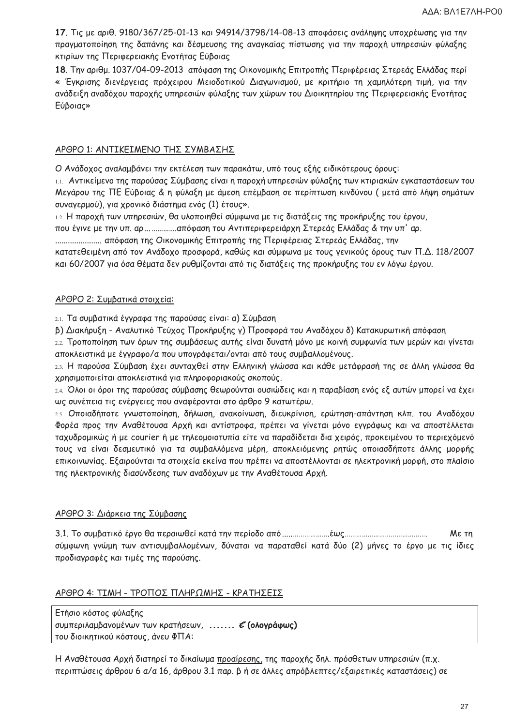17. Τις με αριθ. 9180/367/25-01-13 και 94914/3798/14-08-13 αποφάσεις ανάληψης υποχρέωσης για την πραγματοποίηση της δαπάνης και δέσμευσης της αναγκαίας πίστωσης για την παροχή υπηρεσιών φύλαξης κτιρίων της Περιφερειακής Ενοτήτας Εύβοιας

18. Την αριθμ. 1037/04-09-2013 απόφαση της Οικονομικής Επιτροπής Περιφέρειας Στερεάς Ελλάδας περί « Έγκρισης διενέργειας πρόχειρου Μειοδοτικού Διαγωνισμού, με κριτήριο τη χαμηλότερη τιμή, για την ανάδειξη αναδόχου παροχής υπηρεσιών φύλαξης των χώρων του Διοικητηρίου της Περιφερειακής Ενοτήτας Εύβοιας»

### ΑΡΘΡΟ 1: ΑΝΤΙΚΕΙΜΕΝΟ ΤΗΣ ΣΥΜΒΑΣΗΣ

Ο Ανάδοχος αναλαμβάνει την εκτέλεση των παρακάτω, υπό τους εξής ειδικότερους όρους:

1.1. Αντικείμενο της παρούσας Σύμβασης είναι η παροχή υπηρεσιών φύλαξης των κτιριακών εγκαταστάσεων του Μεγάρου της ΠΕ Εύβοιας & η φύλαξη με άμεση επέμβαση σε περίπτωση κινδύνου ( μετά από λήψη σημάτων συναγερμού), για χρονικό διάστημα ενός (1) έτους».

1.2. Η παροχή των υπηρεσιών, θα υλοποιηθεί σύμφωνα με τις διατάξεις της προκήρυξης του έργου,

που έγινε με την υπ. αρ... ...............απόφαση του Αντιπεριφερειάρχη Στερεάς Ελλάδας & την υπ' αρ.

....................... απόφαση της Οικονομικής Επιτροπής της Περιφέρειας Στερεάς Ελλάδας, την

κατατεθειμένη από τον Ανάδοχο προσφορά, καθώς και σύμφωνα με τους γενικούς όρους των Π.Δ. 118/2007 και 60/2007 για όσα θέματα δεν ρυθμίζονται από τις διατάξεις της προκήρυξης του εν λόγω έργου.

### ΑΡΘΡΟ 2: Συμβατικά στοιχεία:

2.1. Τα συμβατικά έγγραφα της παρούσας είναι: α) Σύμβαση

β) Διακήρυξη - Αναλυτικό Τεύχος Προκήρυξης γ) Προσφορά του Αναδόχου δ) Κατακυρωτική απόφαση

2.2. Τροποποίηση των όρων της συμβάσεως αυτής είναι δυνατή μόνο με κοινή συμφωνία των μερών και γίνεται αποκλειστικά με έγγραφο/α που υπογράφεται/ονται από τους συμβαλλομένους.

2.3. Η παρούσα Σύμβαση έχει συνταχθεί στην Ελληνική γλώσσα και κάθε μετάφρασή της σε άλλη γλώσσα θα χρησιμοποιείται αποκλειστικά για πληροφοριακούς σκοπούς.

24. Όλοι οι όροι της παρούσας σύμβασης θεωρούνται ουσιώδεις και η παραβίαση ενός εξ αυτών μπορεί να έχει ως συνέπεια τις ενέργειες που αναφέρονται στο άρθρο 9 κατωτέρω.

2.5. Οποιαδήποτε γνωστοποίηση, δήλωση, ανακοίνωση, διευκρίνιση, ερώτηση-απάντηση κλπ. του Αναδόχου Φορέα προς την Αναθέτουσα Αρχή και αντίστροφα, πρέπει να γίνεται μόνο εγγράφως και να αποστέλλεται ταχυδρομικώς ή με courier ή με τηλεομοιοτυπία είτε να παραδίδεται δια χειρός, προκειμένου το περιεχόμενό τους να είναι δεσμευτικό για τα συμβαλλόμενα μέρη, αποκλειόμενης ρητώς οποιασδήποτε άλλης μορφής επικοινωνίας. Εξαιρούνται τα στοιχεία εκείνα που πρέπει να αποστέλλονται σε ηλεκτρονική μορφή, στο πλαίσιο της ηλεκτρονικής διασύνδεσης των αναδόχων με την Αναθέτουσα Αρχή.

### ΑΡΘΡΟ 3: Διάρκεια της Σύμβασης

Me Tn σύμφωνη γνώμη των αντισυμβαλλομένων, δύναται να παραταθεί κατά δύο (2) μήνες το έργο με τις ίδιες προδιαγραφές και τιμές της παρούσης.

### ΑΡΘΡΟ 4: ΤΙΜΗ - ΤΡΟΠΟΣ ΠΛΗΡΩΜΗΣ - ΚΡΑΤΗΣΕΙΣ

Ετήσιο κόστος φύλαξης συμπεριλαμβανομένων των κρατήσεων, ....... ε (ολογράφως) του διοικητικού κόστους, άνευ ΦΠΑ:

Η Αναθέτουσα Αρχή διατηρεί το δικαίωμα προαίρεσης, της παροχής δηλ. πρόσθετων υπηρεσιών (π.χ. περιπτώσεις άρθρου 6 α/α 16, άρθρου 3.1 παρ. β ή σε άλλες απρόβλεπτες/εξαιρετικές καταστάσεις) σε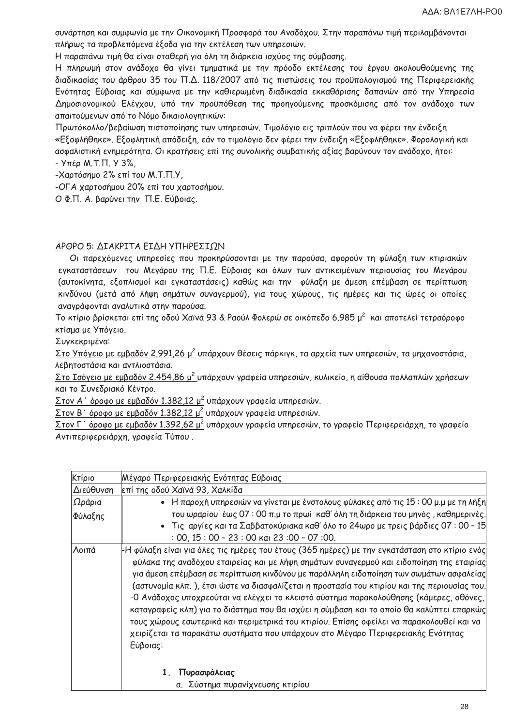συνάρτηση και συμφωνία με την Οικονομική Προσφορά του Αναδόχου. Στην παραπάνω τιμή περιλαμβάνονται πλήρως τα προβλεπόμενα έξοδα για την εκτέλεση των υπηρεσιών.

Η παραπάνω τιμή θα είναι σταθερή για όλη τη διάρκεια ισχύος της σύμβασης.

Η πληρωμή στον ανάδοχο θα γίνει τμηματικά με την πρόοδο εκτέλεσης του έργου ακολουθούμενης της διαδικασίας του άρθρου 35 του Π.Δ. 118/2007 από τις πιστώσεις του προϋπολογισμού της Περιφερειακής Ενότητας Εύβοιας και σύμφωνα με την καθιερωμένη διαδικασία εκκαθάρισης δαπανών από την Υπηρεσία Δημοσιονομικού Ελέγχου, υπό την προϋπόθεση της προηγούμενης προσκόμισης από τον ανάδοχο των απαιτούμενων από το Νόμο δικαιολογητικών:

Πρωτόκολλο/βεβαίωση πιστοποίησης των υπηρεσιών. Τιμολόγιο εις τριπλούν που να φέρει την ένδειξη «Εξοφλήθηκε». Εξοφλητική απόδειξη, εάν το τιμολόγιο δεν φέρει την ένδειξη «Εξοφλήθηκε». Φορολογική και ασφαλιστική ενημερότητα. Οι κρατήσεις επί της συνολικής συμβατικής αξίας βαρύνουν τον ανάδοχο, ήτοι: - Υπέρ Μ.Τ.Π. Υ 3%,

-Χαρτόσημο 2% επί του Μ.Τ.Π.Υ.

-ΟΓΑ χαρτοσήμου 20% επί του χαρτοσήμου.

Ο Φ.Π. Α. βαρύνει την Π.Ε. Εύβοιας.

#### ΑΡΘΡΟ 5: ΔΙΑΚΡΙΤΑ ΕΙΔΗ ΥΠΗΡΕΣΙΩΝ

Οι παρεχόμενες υπηρεσίες που προκηρύσσονται με την παρούσα, αφορούν τη φύλαξη των κτιριακών εγκαταστάσεων του Μεγάρου της Π.Ε. Εύβοιας και όλων των αντικειμένων περιουσίας του Μεγάρου (αυτοκίνητα, εξοπλισμοί και εγκαταστάσεις) καθώς και την φύλαξη με άμεση επέμβαση σε περίπτωση κινδύνου (μετά από λήψη σημάτων συναγερμού), για τους χώρους, τις ημέρες και τις ώρες οι οποίες αναγράφονται αναλυτικά στην παρούσα.

Το κτίριο βρίσκεται επί της οδού Χαϊνά 93 & Ραούλ Φολερώ σε οικόπεδο 6.985 μ<sup>2</sup> και αποτελεί τετραόροφο κτίσμα με Υπόγειο.

Συγκεκριμένα:

Στο Υπόγειο με εμβαδόν 2.991,26 μ<sup>2</sup> υπάρχουν θέσεις πάρκιγκ, τα αρχεία των υπηρεσιών, τα μηχανοστάσια, λεβητοστάσια και αντλιοστάσια.

Στο Ισόγειο με εμβαδόν 2.454,86 μ<sup>2</sup> υπάρχουν γραφεία υπηρεσιών, κυλικείο, η αίθουσα πολλαπλών χρήσεων και το Συνεδριακό Κέντρο.

Στον Α΄ όροφο με εμβαδόν 1.382,12 μ<sup>2</sup> υπάρχουν γραφεία υπηρεσιών.

Στον Β΄ όροφο με εμβαδόν 1.382,12 μ<sup>2</sup> υπάρχουν γραφεία υπηρεσιών.

<u>Στον Γ΄ όροφο με εμβαδόν 1.392,62 μ<sup>2</sup> υπάρχουν γραφεία υπηρεσιών, το γραφείο Περιφερειάρχη, το γραφείο</u> Αντιπεριφερειάρχη, γραφεία Τύπου.

| Μέγαρο Περιφερειακής Ενότητας Εύβοιας                                                                                                                                                                                                                                                                                                                                                                                                                                                                                                                                                                                                                                                                                                                                                   |
|-----------------------------------------------------------------------------------------------------------------------------------------------------------------------------------------------------------------------------------------------------------------------------------------------------------------------------------------------------------------------------------------------------------------------------------------------------------------------------------------------------------------------------------------------------------------------------------------------------------------------------------------------------------------------------------------------------------------------------------------------------------------------------------------|
| επί της οδού Χαϊνά 93, Χαλκίδα                                                                                                                                                                                                                                                                                                                                                                                                                                                                                                                                                                                                                                                                                                                                                          |
| Η παροχή υπηρεσιών να γίνεται με ένστολους φύλακες από τις 15 : 00 μ.μ με τη λήξη<br>$\bullet$                                                                                                                                                                                                                                                                                                                                                                                                                                                                                                                                                                                                                                                                                          |
| του ωραρίου έως Ο7: Ο0 π.μ το πρωί καθ' όλη τη διάρκεια του μηνός, καθημερινές.<br>• Τις αργίες και τα Σαββατοκύριακα καθ' όλο το 24ωρο με τρεις βάρδιες 07:00 - 15<br>$:$ 00, 15 $:$ 00 - 23 $:$ 00 $\kappa$ ai 23 $:$ 00 - 07 $:$ 00.                                                                                                                                                                                                                                                                                                                                                                                                                                                                                                                                                 |
| ├Н φύλαξη είναι για όλες τις ημέρες του έτους (365 ημέρες) με την εγκατάσταση στο κτίριο ενός<br>φύλακα της αναδόχου εταιρείας και με λήψη σημάτων συναγερμού και ειδοποίηση της εταιρίας<br>για άμεση επέμβαση σε περίπτωση κινδύνου με παράλληλη ειδοποίηση των σωμάτων ασφαλείας <br>(αστυνομία κλπ. ), έτσι ώστε να διασφαλίζεται η προστασία του κτιρίου και της περιουσίας του.<br>-Ο Ανάδοχος υποχρεούται να ελέγχει το κλειστό σύστημα παρακολούθησης (κάμερες, οθόνες,<br>καταγραφείς κλπ) για το διάστημα που θα ισχύει η σύμβαση και το οποίο θα καλύπτει επαρκώς<br>τους χώρους εσωτερικά και περιμετρικά του κτιρίου. Επίσης οφείλει να παρακολουθεί και να<br>χειρίζεται τα παρακάτω συστήματα που υπάρχουν στο Μέγαρο Περιφερειακής Ενότητας<br>Εύβοιας:<br>Πυρασφάλειας |
| α. Σύστημα πυρανίχνευσης κτιρίου                                                                                                                                                                                                                                                                                                                                                                                                                                                                                                                                                                                                                                                                                                                                                        |
|                                                                                                                                                                                                                                                                                                                                                                                                                                                                                                                                                                                                                                                                                                                                                                                         |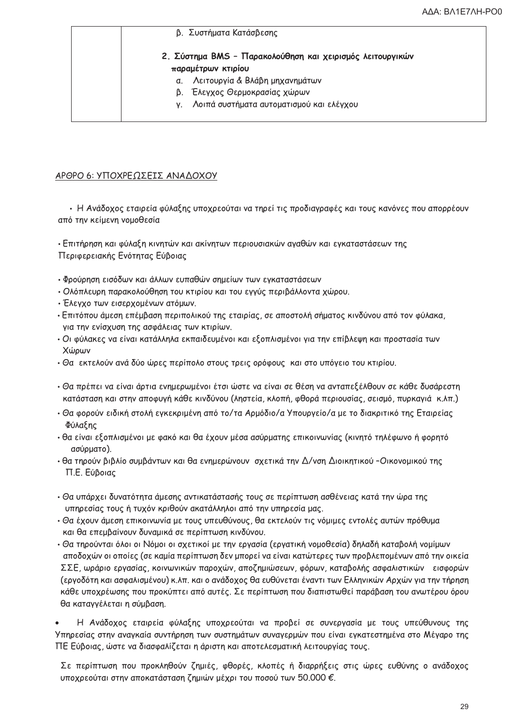|    | 2. Σύστημα BMS - Παρακολούθηση και χειρισμός λειτουργικών |
|----|-----------------------------------------------------------|
|    | παραμέτρων κτιρίου                                        |
| α. | Λειτουργία & Βλάβη μηχανημάτων                            |
|    | β. Έλεγχος Θερμοκρασίας χώρων                             |
| V. | Λοιπά συστήματα αυτοματισμού και ελέγχου                  |

B Sugróvara Varágberne

## ΑΡΘΡΟ 6: ΥΠΟΧΡΕΩΣΕΙΣ ΑΝΑΔΟΧΟΥ

• Η Ανάδοχος εταιρεία φύλαξης υποχρεούται να τηρεί τις προδιαγραφές και τους κανόνες που απορρέουν από την κείμενη νομοθεσία

• Επιτήρηση και φύλαξη κινητών και ακίνητων περιουσιακών αγαθών και εγκαταστάσεων της Περιφερειακής Ενότητας Εύβοιας

- Φρούρηση εισόδων και άλλων ευπαθών σημείων των εγκαταστάσεων
- Ολόπλευρη παρακολούθηση του κτιρίου και του εγγύς περιβάλλοντα χώρου.
- Έλεγχο των εισερχομένων ατόμων.
- Επιτόπου άμεση επέμβαση περιπολικού της εταιρίας, σε αποστολή σήματος κινδύνου από τον φύλακα, για την ενίσχυση της ασφάλειας των κτιρίων.
- Οι φύλακες να είναι κατάλληλα εκπαιδευμένοι και εξοπλισμένοι για την επίβλεψη και προστασία των Χώρων
- Θα εκτελούν ανά δύο ώρες περίπολο στους τρεις ορόφους και στο υπόγειο του κτιρίου.
- Θα πρέπει να είναι άρτια ενημερωμένοι έτσι ώστε να είναι σε θέση να ανταπεξέλθουν σε κάθε δυσάρεστη κατάσταση και στην αποφυγή κάθε κινδύνου (ληστεία, κλοπή, φθορά περιουσίας, σεισμό, πυρκαγιά κ.λπ.)
- Θα φορούν ειδική στολή εγκεκριμένη από το/τα Αρμόδιο/α Υπουργείο/α με το διακριτικό της Εταιρείας Φύλαξης
- θα είναι εξοπλισμένοι με φακό και θα έχουν μέσα ασύρματης επικοινωνίας (κινητό τηλέφωνο ή φορητό ασύρματο).
- θα τηρούν βιβλίο συμβάντων και θα ενημερώνουν σχετικά την Δ/νση Διοικητικού -Οικονομικού της Π.Ε. Εύβοιας
- Θα υπάρχει δυνατότητα άμεσης αντικατάστασής τους σε περίπτωση ασθένειας κατά την ώρα της υπηρεσίας τους ή τυχόν κριθούν ακατάλληλοι από την υπηρεσία μας.
- Θα έχουν άμεση επικοινωνία με τους υπευθύνους, θα εκτελούν τις νόμιμες εντολές αυτών πρόθυμα και θα επεμβαίνουν δυναμικά σε περίπτωση κινδύνου.
- Θα τηρούνται όλοι οι Νόμοι οι σχετικοί με την εργασία (εργατική νομοθεσία) δηλαδή καταβολή νομίμων αποδοχών οι οποίες (σε καμία περίπτωση δεν μπορεί να είναι κατώτερες των προβλεπομένων από την οικεία ΣΣΕ, ωράριο εργασίας, κοινωνικών παροχών, αποζημιώσεων, φόρων, καταβολής ασφαλιστικών εισφορών (εργοδότη και ασφαλισμένου) κ.λπ. και ο ανάδοχος θα ευθύνεται έναντι των Ελληνικών Αρχών για την τήρηση κάθε υποχρέωσης που προκύπτει από αυτές. Σε περίπτωση που διαπιστωθεί παράβαση του ανωτέρου όρου θα καταγγέλεται η σύμβαση.

Η Ανάδοχος εταιρεία φύλαξης υποχρεούται να προβεί σε συνεργασία με τους υπεύθυνους της Υπηρεσίας στην αναγκαία συντήρηση των συστημάτων συναγερμών που είναι εγκατεστημένα στο Μέγαρο της ΠΕ Εύβοιας, ώστε να διασφαλίζεται η άριστη και αποτελεσματική λειτουργίας τους.

Σε περίπτωση που προκληθούν ζημιές, φθορές, κλοπές ή διαρρήξεις στις ώρες ευθύνης ο ανάδοχος υποχρεούται στην αποκατάσταση ζημιών μέχρι του ποσού των 50.000 €.